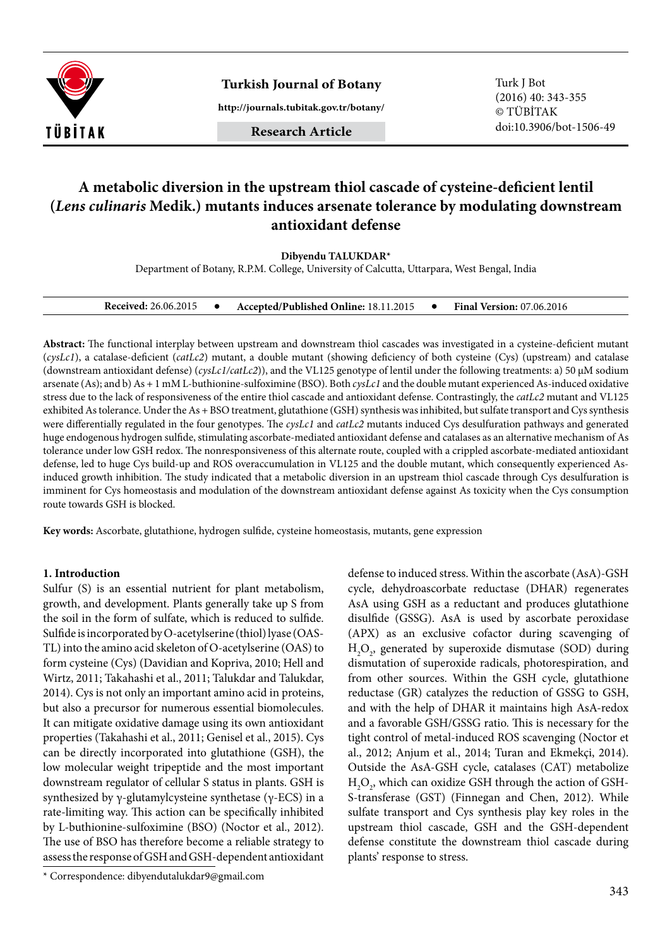

**Turkish Journal of Botany** Turk J Bot

**http://journals.tubitak.gov.tr/botany/**

(2016) 40: 343-355 © TÜBİTAK doi:10.3906/bot-1506-49

# **A metabolic diversion in the upstream thiol cascade of cysteine-deficient lentil (***Lens culinaris* **Medik.) mutants induces arsenate tolerance by modulating downstream antioxidant defense**

**Dibyendu TALUKDAR\***

Department of Botany, R.P.M. College, University of Calcutta, Uttarpara, West Bengal, India

| <b>Received: 26.06.2015</b> |  | Accepted/Published Online: 18.11.2015 |  | <b>Final Version: 07.06.2016</b> |
|-----------------------------|--|---------------------------------------|--|----------------------------------|
|-----------------------------|--|---------------------------------------|--|----------------------------------|

**Abstract:** The functional interplay between upstream and downstream thiol cascades was investigated in a cysteine-deficient mutant (*cysLc1*), a catalase-deficient (*catLc2*) mutant, a double mutant (showing deficiency of both cysteine (Cys) (upstream) and catalase (downstream antioxidant defense) (*cysLc1/catLc2*)), and the VL125 genotype of lentil under the following treatments: a) 50 μM sodium arsenate (As); and b) As + 1 mM L-buthionine-sulfoximine (BSO). Both *cysLc1* and the double mutant experienced As-induced oxidative stress due to the lack of responsiveness of the entire thiol cascade and antioxidant defense. Contrastingly, the *catLc2* mutant and VL125 exhibited As tolerance. Under the As + BSO treatment, glutathione (GSH) synthesis was inhibited, but sulfate transport and Cys synthesis were differentially regulated in the four genotypes. The *cysLc1* and *catLc2* mutants induced Cys desulfuration pathways and generated huge endogenous hydrogen sulfide, stimulating ascorbate-mediated antioxidant defense and catalases as an alternative mechanism of As tolerance under low GSH redox. The nonresponsiveness of this alternate route, coupled with a crippled ascorbate-mediated antioxidant defense, led to huge Cys build-up and ROS overaccumulation in VL125 and the double mutant, which consequently experienced Asinduced growth inhibition. The study indicated that a metabolic diversion in an upstream thiol cascade through Cys desulfuration is imminent for Cys homeostasis and modulation of the downstream antioxidant defense against As toxicity when the Cys consumption route towards GSH is blocked.

**Key words:** Ascorbate, glutathione, hydrogen sulfide, cysteine homeostasis, mutants, gene expression

#### **1. Introduction**

Sulfur (S) is an essential nutrient for plant metabolism, growth, and development. Plants generally take up S from the soil in the form of sulfate, which is reduced to sulfide. Sulfide is incorporated by O-acetylserine (thiol) lyase (OAS-TL) into the amino acid skeleton of O-acetylserine (OAS) to form cysteine (Cys) (Davidian and Kopriva, 2010; Hell and Wirtz, 2011; Takahashi et al., 2011; Talukdar and Talukdar, 2014). Cys is not only an important amino acid in proteins, but also a precursor for numerous essential biomolecules. It can mitigate oxidative damage using its own antioxidant properties (Takahashi et al., 2011; Genisel et al., 2015). Cys can be directly incorporated into glutathione (GSH), the low molecular weight tripeptide and the most important downstream regulator of cellular S status in plants. GSH is synthesized by γ-glutamylcysteine synthetase (γ-ECS) in a rate-limiting way. This action can be specifically inhibited by L-buthionine-sulfoximine (BSO) (Noctor et al., 2012). The use of BSO has therefore become a reliable strategy to assess the response of GSH and GSH-dependent antioxidant

\* Correspondence: dibyendutalukdar9@gmail.com

defense to induced stress. Within the ascorbate (AsA)-GSH cycle, dehydroascorbate reductase (DHAR) regenerates AsA using GSH as a reductant and produces glutathione disulfide (GSSG). AsA is used by ascorbate peroxidase (APX) as an exclusive cofactor during scavenging of  $H_2O_2$ , generated by superoxide dismutase (SOD) during dismutation of superoxide radicals, photorespiration, and from other sources. Within the GSH cycle, glutathione reductase (GR) catalyzes the reduction of GSSG to GSH, and with the help of DHAR it maintains high AsA-redox and a favorable GSH/GSSG ratio. This is necessary for the tight control of metal-induced ROS scavenging (Noctor et al., 2012; Anjum et al., 2014; Turan and Ekmekçi, 2014). Outside the AsA-GSH cycle, catalases (CAT) metabolize  $\rm H_2O_{2^{\prime}}$  which can oxidize GSH through the action of GSH-S-transferase (GST) (Finnegan and Chen, 2012). While sulfate transport and Cys synthesis play key roles in the upstream thiol cascade, GSH and the GSH-dependent defense constitute the downstream thiol cascade during plants' response to stress.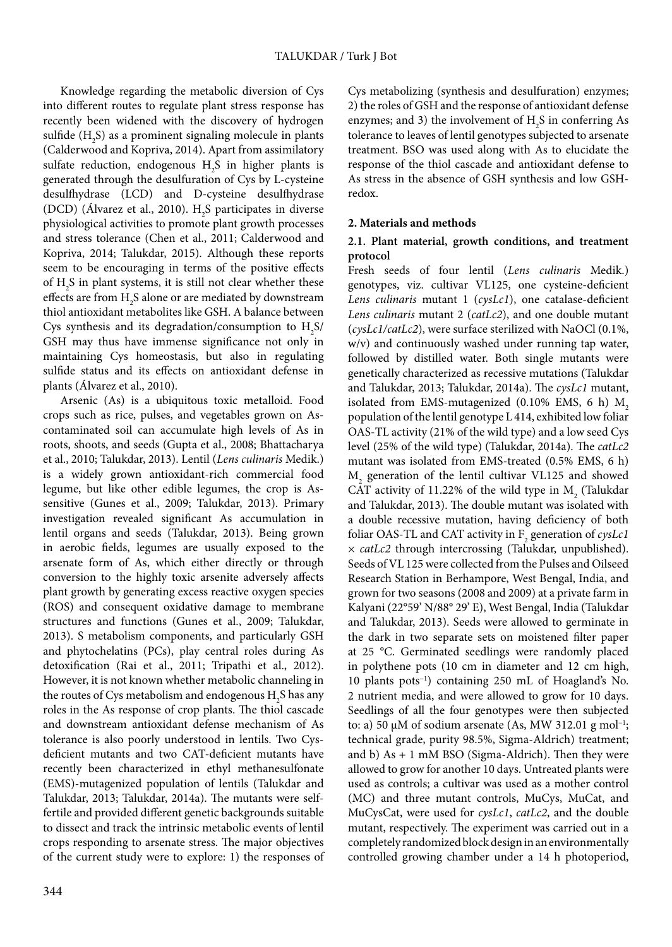Knowledge regarding the metabolic diversion of Cys into different routes to regulate plant stress response has recently been widened with the discovery of hydrogen sulfide  $(\mathrm{H}_{2}\mathrm{S})$  as a prominent signaling molecule in plants (Calderwood and Kopriva, 2014). Apart from assimilatory sulfate reduction, endogenous  $H_2S$  in higher plants is generated through the desulfuration of Cys by L-cysteine desulfhydrase (LCD) and D-cysteine desulfhydrase (DCD) (Alvarez et al., 2010).  $H_2S$  participates in diverse physiological activities to promote plant growth processes and stress tolerance (Chen et al., 2011; Calderwood and Kopriva, 2014; Talukdar, 2015). Although these reports seem to be encouraging in terms of the positive effects of  $H_2S$  in plant systems, it is still not clear whether these effects are from  $H_2S$  alone or are mediated by downstream thiol antioxidant metabolites like GSH. A balance between Cys synthesis and its degradation/consumption to  $H_2S$ / GSH may thus have immense significance not only in maintaining Cys homeostasis, but also in regulating sulfide status and its effects on antioxidant defense in plants (Álvarez et al., 2010).

Arsenic (As) is a ubiquitous toxic metalloid. Food crops such as rice, pulses, and vegetables grown on Ascontaminated soil can accumulate high levels of As in roots, shoots, and seeds (Gupta et al., 2008; Bhattacharya et al., 2010; Talukdar, 2013). Lentil (*Lens culinaris* Medik.) is a widely grown antioxidant-rich commercial food legume, but like other edible legumes, the crop is Assensitive (Gunes et al., 2009; Talukdar, 2013). Primary investigation revealed significant As accumulation in lentil organs and seeds (Talukdar, 2013). Being grown in aerobic fields, legumes are usually exposed to the arsenate form of As, which either directly or through conversion to the highly toxic arsenite adversely affects plant growth by generating excess reactive oxygen species (ROS) and consequent oxidative damage to membrane structures and functions (Gunes et al., 2009; Talukdar, 2013). S metabolism components, and particularly GSH and phytochelatins (PCs), play central roles during As detoxification (Rai et al., 2011; Tripathi et al., 2012). However, it is not known whether metabolic channeling in the routes of Cys metabolism and endogenous  $\rm{H}_{2}S$  has any roles in the As response of crop plants. The thiol cascade and downstream antioxidant defense mechanism of As tolerance is also poorly understood in lentils. Two Cysdeficient mutants and two CAT-deficient mutants have recently been characterized in ethyl methanesulfonate (EMS)-mutagenized population of lentils (Talukdar and Talukdar, 2013; Talukdar, 2014a). The mutants were selffertile and provided different genetic backgrounds suitable to dissect and track the intrinsic metabolic events of lentil crops responding to arsenate stress. The major objectives of the current study were to explore: 1) the responses of

344

Cys metabolizing (synthesis and desulfuration) enzymes; 2) the roles of GSH and the response of antioxidant defense enzymes; and 3) the involvement of  $H_2S$  in conferring As tolerance to leaves of lentil genotypes subjected to arsenate treatment. BSO was used along with As to elucidate the response of the thiol cascade and antioxidant defense to As stress in the absence of GSH synthesis and low GSHredox.

# **2. Materials and methods**

# **2.1. Plant material, growth conditions, and treatment protocol**

Fresh seeds of four lentil (*Lens culinaris* Medik.) genotypes, viz. cultivar VL125, one cysteine-deficient *Lens culinaris* mutant 1 (*cysLc1*), one catalase-deficient *Lens culinaris* mutant 2 (*catLc2*), and one double mutant (*cysLc1/catLc2*), were surface sterilized with NaOCl (0.1%, w/v) and continuously washed under running tap water, followed by distilled water. Both single mutants were genetically characterized as recessive mutations (Talukdar and Talukdar, 2013; Talukdar, 2014a). The *cysLc1* mutant, isolated from EMS-mutagenized  $(0.10\%$  EMS, 6 h)  $M<sub>2</sub>$ population of the lentil genotype L 414, exhibited low foliar OAS-TL activity (21% of the wild type) and a low seed Cys level (25% of the wild type) (Talukdar, 2014a). The *catLc2* mutant was isolated from EMS-treated (0.5% EMS, 6 h)  $M<sub>2</sub>$  generation of the lentil cultivar VL125 and showed CAT activity of 11.22% of the wild type in  $M<sub>2</sub>$  (Talukdar and Talukdar, 2013). The double mutant was isolated with a double recessive mutation, having deficiency of both foliar OAS-TL and CAT activity in  $F_2$  generation of  $\mathit{cysLc1}$ × *catLc2* through intercrossing (Talukdar, unpublished). Seeds of VL 125 were collected from the Pulses and Oilseed Research Station in Berhampore, West Bengal, India, and grown for two seasons (2008 and 2009) at a private farm in Kalyani (22°59' N/88° 29' E), West Bengal, India (Talukdar and Talukdar, 2013). Seeds were allowed to germinate in the dark in two separate sets on moistened filter paper at 25 °C. Germinated seedlings were randomly placed in polythene pots (10 cm in diameter and 12 cm high, 10 plants pots−1) containing 250 mL of Hoagland's No. 2 nutrient media, and were allowed to grow for 10 days. Seedlings of all the four genotypes were then subjected to: a) 50 μM of sodium arsenate (As, MW 312.01 g mol<sup>-1</sup>; technical grade, purity 98.5%, Sigma-Aldrich) treatment; and b) As + 1 mM BSO (Sigma-Aldrich). Then they were allowed to grow for another 10 days. Untreated plants were used as controls; a cultivar was used as a mother control (MC) and three mutant controls, MuCys, MuCat, and MuCysCat, were used for *cysLc1*, *catLc2*, and the double mutant, respectively. The experiment was carried out in a completely randomized block design in an environmentally controlled growing chamber under a 14 h photoperiod,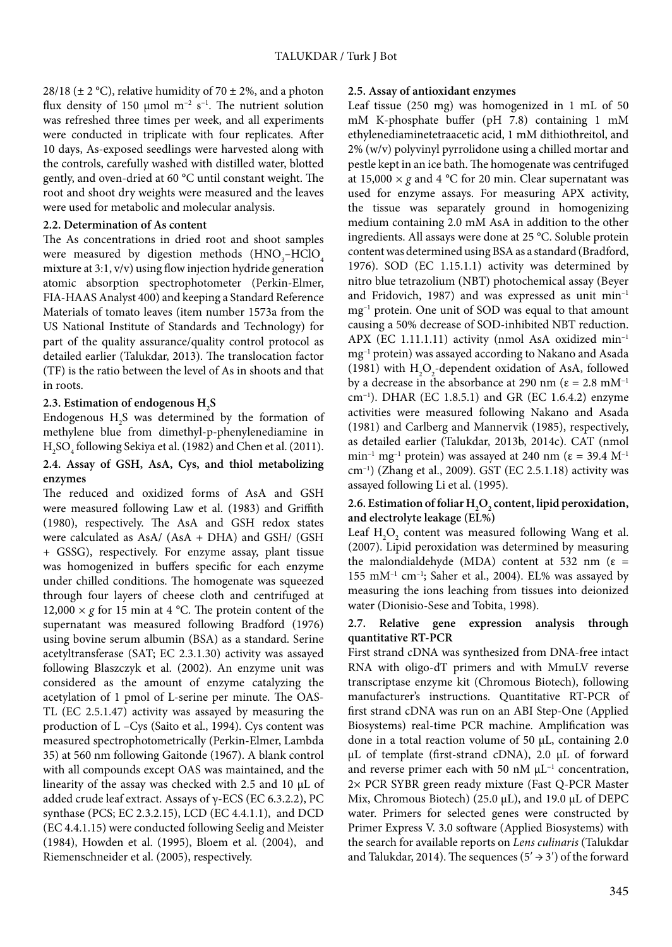28/18 ( $\pm$  2 °C), relative humidity of 70  $\pm$  2%, and a photon flux density of 150 µmol m<sup>-2</sup> s<sup>-1</sup>. The nutrient solution was refreshed three times per week, and all experiments were conducted in triplicate with four replicates. After 10 days, As-exposed seedlings were harvested along with the controls, carefully washed with distilled water, blotted gently, and oven-dried at 60 °C until constant weight. The root and shoot dry weights were measured and the leaves were used for metabolic and molecular analysis.

# **2.2. Determination of As content**

The As concentrations in dried root and shoot samples were measured by digestion methods  $(\text{HNO}_{3}^{\text{--}}\text{HClO}_{4}^{\text{--}}$ mixture at 3:1, v/v) using flow injection hydride generation atomic absorption spectrophotometer (Perkin-Elmer, FIA-HAAS Analyst 400) and keeping a Standard Reference Materials of tomato leaves (item number 1573a from the US National Institute of Standards and Technology) for part of the quality assurance/quality control protocol as detailed earlier (Talukdar, 2013). The translocation factor (TF) is the ratio between the level of As in shoots and that in roots.

# 2.3. Estimation of endogenous  $H_{2}S$

Endogenous  $H_2S$  was determined by the formation of methylene blue from dimethyl-p-phenylenediamine in  $\rm{H}_{2}SO_{4}$  following Sekiya et al. (1982) and Chen et al. (2011).

# **2.4. Assay of GSH, AsA, Cys, and thiol metabolizing enzymes**

The reduced and oxidized forms of AsA and GSH were measured following Law et al. (1983) and Griffith (1980), respectively. The AsA and GSH redox states were calculated as AsA/ (AsA + DHA) and GSH/ (GSH + GSSG), respectively. For enzyme assay, plant tissue was homogenized in buffers specific for each enzyme under chilled conditions. The homogenate was squeezed through four layers of cheese cloth and centrifuged at 12,000  $\times$  *g* for 15 min at 4 °C. The protein content of the supernatant was measured following Bradford (1976) using bovine serum albumin (BSA) as a standard. Serine acetyltransferase (SAT; EC 2.3.1.30) activity was assayed following Blaszczyk et al. (2002). An enzyme unit was considered as the amount of enzyme catalyzing the acetylation of 1 pmol of L-serine per minute. The OAS-TL (EC 2.5.1.47) activity was assayed by measuring the production of L –Cys (Saito et al., 1994). Cys content was measured spectrophotometrically (Perkin-Elmer, Lambda 35) at 560 nm following Gaitonde (1967). A blank control with all compounds except OAS was maintained, and the linearity of the assay was checked with 2.5 and 10 µL of added crude leaf extract. Assays of γ-ECS (EC 6.3.2.2), PC synthase (PCS; EC 2.3.2.15), LCD (EC 4.4.1.1), and DCD (EC 4.4.1.15) were conducted following Seelig and Meister (1984), Howden et al. (1995), Bloem et al. (2004), and Riemenschneider et al. (2005), respectively.

# **2.5. Assay of antioxidant enzymes**

Leaf tissue (250 mg) was homogenized in 1 mL of 50 mM K-phosphate buffer (pH 7.8) containing 1 mM ethylenediaminetetraacetic acid, 1 mM dithiothreitol, and 2% (w/v) polyvinyl pyrrolidone using a chilled mortar and pestle kept in an ice bath. The homogenate was centrifuged at  $15,000 \times g$  and  $4^{\circ}$ C for 20 min. Clear supernatant was used for enzyme assays. For measuring APX activity, the tissue was separately ground in homogenizing medium containing 2.0 mM AsA in addition to the other ingredients. All assays were done at 25 °C. Soluble protein content was determined using BSA as a standard (Bradford, 1976). SOD (EC 1.15.1.1) activity was determined by nitro blue tetrazolium (NBT) photochemical assay (Beyer and Fridovich, 1987) and was expressed as unit min–1 mg–1 protein. One unit of SOD was equal to that amount causing a 50% decrease of SOD-inhibited NBT reduction. APX (EC 1.11.1.11) activity (nmol AsA oxidized min–1 mg–1 protein) was assayed according to Nakano and Asada (1981) with  $H_2O_2$ -dependent oxidation of AsA, followed by a decrease in the absorbance at 290 nm ( $\varepsilon = 2.8$  mM<sup>-1</sup> cm−1). DHAR (EC 1.8.5.1) and GR (EC 1.6.4.2) enzyme activities were measured following Nakano and Asada (1981) and Carlberg and Mannervik (1985), respectively, as detailed earlier (Talukdar, 2013b, 2014c). CAT (nmol min<sup>-1</sup> mg<sup>-1</sup> protein) was assayed at 240 nm ( $\varepsilon$  = 39.4 M<sup>-1</sup> cm–1) (Zhang et al., 2009). GST (EC 2.5.1.18) activity was assayed following Li et al. (1995).

# 2.6. Estimation of foliar  $H_2O_2$  content, lipid peroxidation, **and electrolyte leakage (EL%)**

Leaf  $H_2O_2$  content was measured following Wang et al. (2007). Lipid peroxidation was determined by measuring the malondialdehyde (MDA) content at 532 nm ( $\varepsilon$  =  $155$  mM<sup>-1</sup> cm<sup>-1</sup>; Saher et al., 2004). EL% was assayed by measuring the ions leaching from tissues into deionized water (Dionisio-Sese and Tobita, 1998).

# **2.7. Relative gene expression analysis through quantitative RT-PCR**

First strand cDNA was synthesized from DNA-free intact RNA with oligo-dT primers and with MmuLV reverse transcriptase enzyme kit (Chromous Biotech), following manufacturer's instructions. Quantitative RT-PCR of first strand cDNA was run on an ABI Step-One (Applied Biosystems) real-time PCR machine. Amplification was done in a total reaction volume of 50 μL, containing 2.0 µL of template (first-strand cDNA), 2.0 µL of forward and reverse primer each with 50 nM  $\mu$ L<sup>-1</sup> concentration, 2× PCR SYBR green ready mixture (Fast Q-PCR Master Mix, Chromous Biotech) (25.0 µL), and 19.0 µL of DEPC water. Primers for selected genes were constructed by Primer Express V. 3.0 software (Applied Biosystems) with the search for available reports on *Lens culinaris* (Talukdar and Talukdar, 2014). The sequences ( $5' \rightarrow 3'$ ) of the forward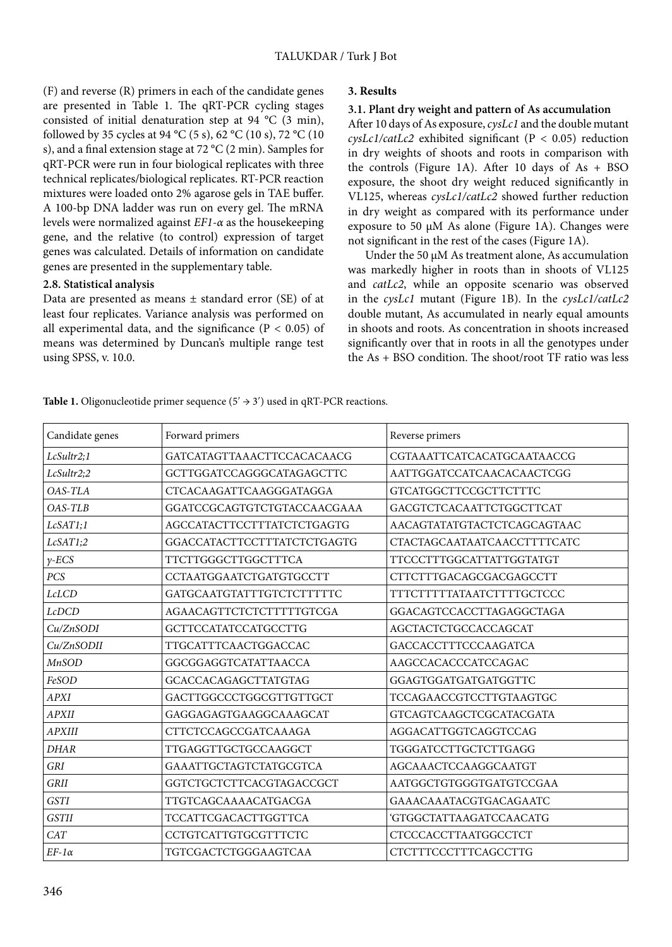(F) and reverse (R) primers in each of the candidate genes are presented in Table 1. The qRT-PCR cycling stages consisted of initial denaturation step at 94 °C (3 min), followed by 35 cycles at 94 °C (5 s), 62 °C (10 s), 72 °C (10 s), and a final extension stage at 72 °C (2 min). Samples for qRT-PCR were run in four biological replicates with three technical replicates/biological replicates. RT-PCR reaction mixtures were loaded onto 2% agarose gels in TAE buffer. A 100-bp DNA ladder was run on every gel. The mRNA levels were normalized against *EF1-α* as the housekeeping gene, and the relative (to control) expression of target genes was calculated. Details of information on candidate genes are presented in the supplementary table.

# **2.8. Statistical analysis**

Data are presented as means  $\pm$  standard error (SE) of at least four replicates. Variance analysis was performed on all experimental data, and the significance ( $P < 0.05$ ) of means was determined by Duncan's multiple range test using SPSS, v. 10.0.

### **3. Results**

### **3.1. Plant dry weight and pattern of As accumulation**

After 10 days of As exposure, *cysLc1* and the double mutant  $\frac{c v s L c1}{c a t L c^2}$  exhibited significant (P < 0.05) reduction in dry weights of shoots and roots in comparison with the controls (Figure 1A). After 10 days of  $As + BSO$ exposure, the shoot dry weight reduced significantly in VL125, whereas *cysLc1/catLc2* showed further reduction in dry weight as compared with its performance under exposure to 50 µM As alone (Figure 1A). Changes were not significant in the rest of the cases (Figure 1A).

Under the 50 µM As treatment alone, As accumulation was markedly higher in roots than in shoots of VL125 and *catLc2*, while an opposite scenario was observed in the *cysLc1* mutant (Figure 1B). In the *cysLc1/catLc2* double mutant, As accumulated in nearly equal amounts in shoots and roots. As concentration in shoots increased significantly over that in roots in all the genotypes under the As + BSO condition. The shoot/root TF ratio was less

**Table 1.** Oligonucleotide primer sequence  $(5' \rightarrow 3')$  used in qRT-PCR reactions.

| Candidate genes | Forward primers               | Reverse primers                 |
|-----------------|-------------------------------|---------------------------------|
| LcSultr2;1      | GATCATAGTTAAACTTCCACACAACG    | CGTAAATTCATCACATGCAATAACCG      |
| LcSultr2;2      | GCTTGGATCCAGGGCATAGAGCTTC     | AATTGGATCCATCAACACAACTCGG       |
| $OAS-TLA$       | CTCACAAGATTCAAGGGATAGGA       | <b>GTCATGGCTTCCGCTTCTTTC</b>    |
| $OAS-TLB$       | GGATCCGCAGTGTCTGTACCAACGAAA   | <b>GACGTCTCACAATTCTGGCTTCAT</b> |
| LcSAT1;1        | AGCCATACTTCCTTTATCTCTGAGTG    | AACAGTATATGTACTCTCAGCAGTAAC     |
| LcSAT1;2        | GGACCATACTTCCTTTATCTCTGAGTG   | CTACTAGCAATAATCAACCTTTTCATC     |
| $\gamma$ -ECS   | <b>TTCTTGGGCTTGGCTTTCA</b>    | <b>TTCCCTTTGGCATTATTGGTATGT</b> |
| PCS             | CCTAATGGAATCTGATGTGCCTT       | CTTCTTTGACAGCGACGAGCCTT         |
| <b>LcLCD</b>    | GATGCAATGTATTTGTCTCTTTTTC     | TTTCTTTTTATAATCTTTTGCTCCC       |
| <b>LcDCD</b>    | AGAACAGTTCTCTCTTTTTGTCGA      | GGACAGTCCACCTTAGAGGCTAGA        |
| Cu/ZnSODI       | <b>GCTTCCATATCCATGCCTTG</b>   | AGCTACTCTGCCACCAGCAT            |
| Cu/ZnSODII      | TTGCATTTCAACTGGACCAC          | GACCACCTTTCCCAAGATCA            |
| MnSOD           | GGCGGAGGTCATATTAACCA          | AAGCCACACCCATCCAGAC             |
| FeSOD           | <b>GCACCACAGAGCTTATGTAG</b>   | GGAGTGGATGATGATGGTTC            |
| <b>APXI</b>     | GACTTGGCCCTGGCGTTGTTGCT       | <b>TCCAGAACCGTCCTTGTAAGTGC</b>  |
| <b>APXII</b>    | GAGGAGAGTGAAGGCAAAGCAT        | <b>GTCAGTCAAGCTCGCATACGATA</b>  |
| <b>APXIII</b>   | CTTCTCCAGCCGATCAAAGA          | AGGACATTGGTCAGGTCCAG            |
| <b>DHAR</b>     | TTGAGGTTGCTGCCAAGGCT          | TGGGATCCTTGCTCTTGAGG            |
| <b>GRI</b>      | <b>GAAATTGCTAGTCTATGCGTCA</b> | AGCAAACTCCAAGGCAATGT            |
| <b>GRII</b>     | GGTCTGCTCTTCACGTAGACCGCT      | AATGGCTGTGGGTGATGTCCGAA         |
| <b>GSTI</b>     | TTGTCAGCAAAACATGACGA          | GAAACAAATACGTGACAGAATC          |
| <b>GSTII</b>    | <b>TCCATTCGACACTTGGTTCA</b>   | 'GTGGCTATTAAGATCCAACATG         |
| <b>CAT</b>      | CCTGTCATTGTGCGTTTCTC          | CTCCCACCTTAATGGCCTCT            |
| $EF-1\alpha$    | <b>TGTCGACTCTGGGAAGTCAA</b>   | <b>CTCTTTCCCTTTCAGCCTTG</b>     |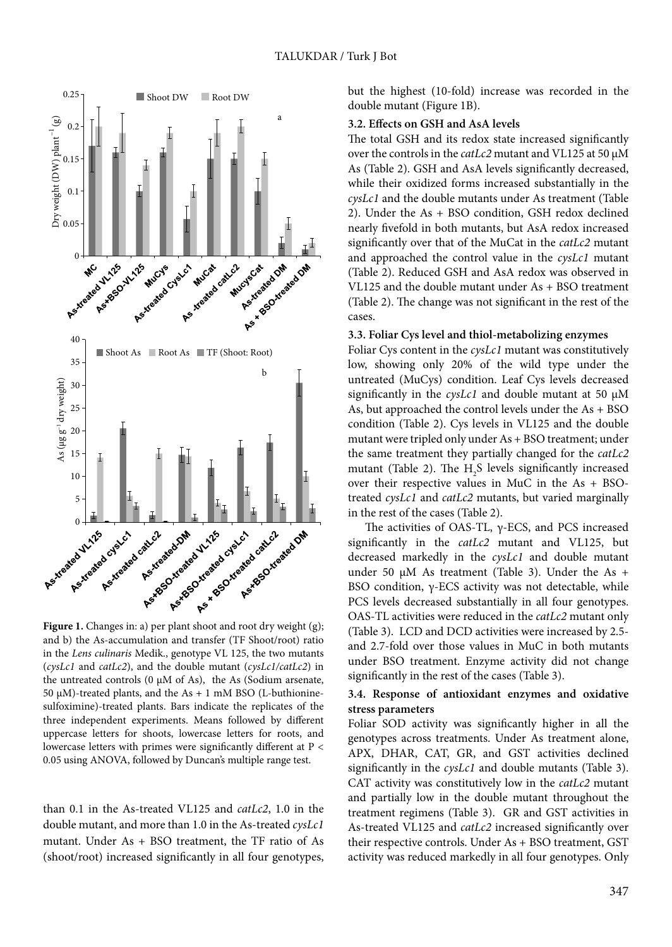

and b) the As-accumulation and transfer (TF Shoot/root) ratio in the *Lens culinaris* Medik., genotype VL 125, the two mutants (*cysLc1* and *catLc2*), and the double mutant (*cysLc1/catLc2*) in the untreated controls (0 μM of As), the As (Sodium arsenate, 50 μM)-treated plants, and the As + 1 mM BSO (L-buthioninesulfoximine)-treated plants. Bars indicate the replicates of the three independent experiments. Means followed by different uppercase letters for shoots, lowercase letters for roots, and lowercase letters with primes were significantly different at P < 0.05 using ANOVA, followed by Duncan's multiple range test.

than 0.1 in the As-treated VL125 and *catLc2*, 1.0 in the double mutant, and more than 1.0 in the As-treated *cysLc1* mutant. Under As + BSO treatment, the TF ratio of As (shoot/root) increased significantly in all four genotypes, but the highest (10-fold) increase was recorded in the double mutant (Figure 1B).

### **3.2. Effects on GSH and AsA levels**

The total GSH and its redox state increased significantly over the controls in the *catLc2* mutant and VL125 at 50 µM As (Table 2). GSH and AsA levels significantly decreased, while their oxidized forms increased substantially in the *cysLc1* and the double mutants under As treatment (Table 2). Under the As + BSO condition, GSH redox declined nearly fivefold in both mutants, but AsA redox increased significantly over that of the MuCat in the *catLc2* mutant and approached the control value in the *cysLc1* mutant (Table 2). Reduced GSH and AsA redox was observed in VL125 and the double mutant under As + BSO treatment (Table 2). The change was not significant in the rest of the cases.

#### **3.3. Foliar Cys level and thiol-metabolizing enzymes**

Foliar Cys content in the *cysLc1* mutant was constitutively low, showing only 20% of the wild type under the untreated (MuCys) condition. Leaf Cys levels decreased significantly in the *cysLc1* and double mutant at 50 µM As, but approached the control levels under the As + BSO condition (Table 2). Cys levels in VL125 and the double mutant were tripled only under As + BSO treatment; under the same treatment they partially changed for the *catLc2* mutant (Table 2). The  $H_2S$  levels significantly increased over their respective values in MuC in the As + BSOtreated *cysLc1* and *catLc2* mutants, but varied marginally in the rest of the cases (Table 2).

The activities of OAS-TL, γ-ECS, and PCS increased significantly in the *catLc2* mutant and VL125, but decreased markedly in the *cysLc1* and double mutant under 50 µM As treatment (Table 3). Under the As + BSO condition, γ-ECS activity was not detectable, while PCS levels decreased substantially in all four genotypes. OAS-TL activities were reduced in the *catLc2* mutant only (Table 3). LCD and DCD activities were increased by 2.5 and 2.7-fold over those values in MuC in both mutants under BSO treatment. Enzyme activity did not change significantly in the rest of the cases (Table 3).

### **3.4. Response of antioxidant enzymes and oxidative stress parameters**

Foliar SOD activity was significantly higher in all the genotypes across treatments. Under As treatment alone, APX, DHAR, CAT, GR, and GST activities declined significantly in the *cysLc1* and double mutants (Table 3). CAT activity was constitutively low in the *catLc2* mutant and partially low in the double mutant throughout the treatment regimens (Table 3). GR and GST activities in As-treated VL125 and *catLc2* increased significantly over their respective controls. Under As + BSO treatment, GST activity was reduced markedly in all four genotypes. Only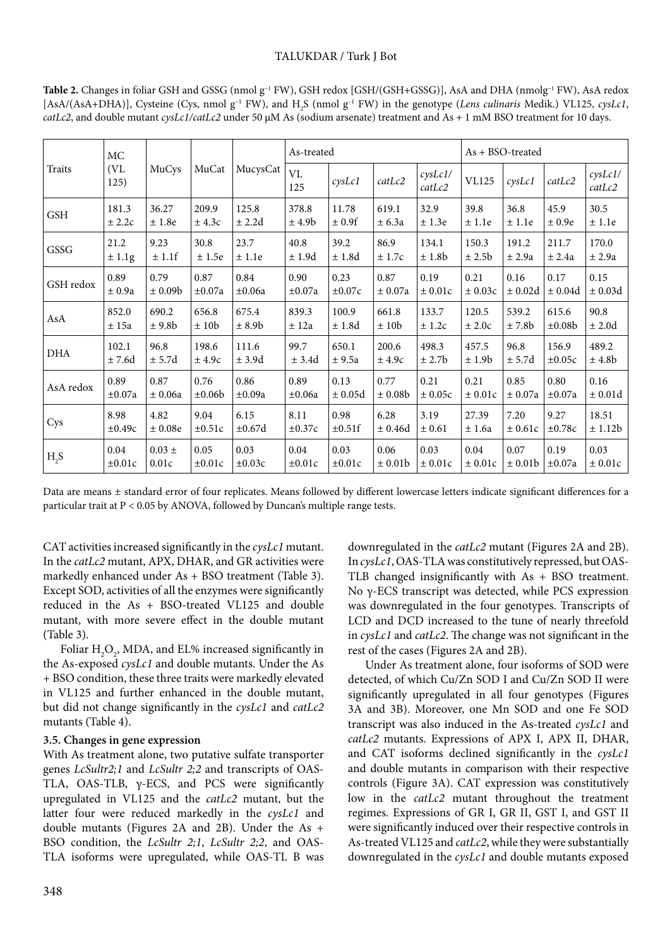# TALUKDAR / Turk J Bot

| Traits           | MC<br>(VL<br>125) | MuCys              | MuCat       | MucysCat           | As-treated         |              |                     |                         | $As + BSO-treeated$ |              |             |                         |
|------------------|-------------------|--------------------|-------------|--------------------|--------------------|--------------|---------------------|-------------------------|---------------------|--------------|-------------|-------------------------|
|                  |                   |                    |             |                    | VL<br>125          | $c$ ys $Lc1$ | catLc2              | $c$ ys $Lc1/$<br>catLc2 | <b>VL125</b>        | $c$ ys $Lc1$ | catLc2      | $c$ ys $Lc1/$<br>catLc2 |
| <b>GSH</b>       | 181.3             | 36.27              | 209.9       | 125.8              | 378.8              | 11.78        | 619.1               | 32.9                    | 39.8                | 36.8         | 45.9        | 30.5                    |
|                  | ± 2.2c            | ±1.8e              | ± 4.3c      | ± 2.2d             | ± 4.9 <sub>b</sub> | ± 0.9f       | ± 6.3a              | ± 1.3e                  | ± 1.1e              | ± 1.1e       | ± 0.9e      | ± 1.1e                  |
| GSSG             | 21.2              | 9.23               | 30.8        | 23.7               | 40.8               | 39.2         | 86.9                | 134.1                   | 150.3               | 191.2        | 211.7       | 170.0                   |
|                  | $\pm 1.1$ g       | ± 1.1f             | ± 1.5e      | ± 1.1e             | ±1.9d              | ±1.8d        | ± 1.7c              | ± 1.8b                  | ± 2.5b              | ± 2.9a       | ± 2.4a      | ± 2.9a                  |
| GSH redox        | 0.89              | 0.79               | 0.87        | 0.84               | 0.90               | 0.23         | 0.87                | 0.19                    | 0.21                | 0.16         | 0.17        | 0.15                    |
|                  | ± 0.9a            | $\pm 0.09b$        | $\pm 0.07a$ | $\pm 0.06a$        | $\pm 0.07a$        | $\pm 0.07c$  | ± 0.07a             | $\pm 0.01c$             | $\pm 0.03c$         | $\pm 0.02d$  | $\pm 0.04d$ | ± 0.03d                 |
| AsA              | 852.0             | 690.2              | 656.8       | 675.4              | 839.3              | 100.9        | 661.8               | 133.7                   | 120.5               | 539.2        | 615.6       | 90.8                    |
|                  | ± 15a             | ± 9.8 <sub>b</sub> | ± 10b       | ± 8.9 <sub>b</sub> | ± 12a              | ±1.8d        | ± 10 <sub>b</sub>   | ± 1.2c                  | ± 2.0c              | ± 7.8b       | $\pm 0.08$  | ± 2.0d                  |
| DHA              | 102.1             | 96.8               | 198.6       | 111.6              | 99.7               | 650.1        | 200.6               | 498.3                   | 457.5               | 96.8         | 156.9       | 489.2                   |
|                  | ± 7.6d            | ± 5.7d             | ± 4.9c      | ± 3.9d             | ± 3.4d             | ± 9.5a       | ± 4.9c              | ± 2.7b                  | ± 1.9b              | ± 5.7d       | $\pm 0.05c$ | ± 4.8b                  |
| AsA redox        | 0.89              | 0.87               | 0.76        | 0.86               | 0.89               | 0.13         | 0.77                | 0.21                    | 0.21                | 0.85         | 0.80        | 0.16                    |
|                  | $\pm 0.07a$       | ± 0.06a            | $\pm 0.06b$ | $\pm 0.09a$        | $\pm 0.06a$        | ± 0.05d      | $\pm$ 0.08b         | ± 0.05c                 | ± 0.01c             | ± 0.07a      | $\pm 0.07a$ | $\pm 0.01d$             |
| Cys              | 8.98              | 4.82               | 9.04        | 6.15               | 8.11               | 0.98         | 6.28                | 3.19                    | 27.39               | 7.20         | 9.27        | 18.51                   |
|                  | $\pm 0.49c$       | ± 0.08e            | $\pm 0.51c$ | $\pm 0.67d$        | $\pm 0.37c$        | $\pm 0.51$ f | ± 0.46d             | ± 0.61                  | ±1.6a               | $\pm 0.61c$  | $\pm 0.78c$ | ± 1.12b                 |
| H <sub>2</sub> S | 0.04              | $0.03 \pm$         | 0.05        | 0.03               | 0.04               | 0.03         | 0.06                | 0.03                    | 0.04                | 0.07         | 0.19        | 0.03                    |
|                  | $\pm 0.01c$       | 0.01c              | $\pm 0.01c$ | $\pm 0.03c$        | $\pm 0.01c$        | $\pm 0.01c$  | ± 0.01 <sub>b</sub> | $\pm 0.01c$             | ± 0.01c             | $\pm$ 0.01b  | $\pm 0.07a$ | $\pm 0.01c$             |

**Table 2.** Changes in foliar GSH and GSSG (nmol g–1 FW), GSH redox [GSH/(GSH+GSSG)], AsA and DHA (nmolg–1 FW), AsA redox [AsA/(AsA+DHA)], Cysteine (Cys, nmol g<sup>-1</sup> FW), and H<sub>2</sub>S (nmol g<sup>-1</sup> FW) in the genotype (*Lens culinaris* Medik.) VL125, *cysLc1*, *catLc2*, and double mutant *cysLc1/catLc2* under 50 µM As (sodium arsenate) treatment and As + 1 mM BSO treatment for 10 days.

Data are means ± standard error of four replicates. Means followed by different lowercase letters indicate significant differences for a particular trait at P < 0.05 by ANOVA, followed by Duncan's multiple range tests.

CAT activities increased significantly in the *cysLc1* mutant. In the *catLc2* mutant, APX, DHAR, and GR activities were markedly enhanced under As + BSO treatment (Table 3). Except SOD, activities of all the enzymes were significantly reduced in the As + BSO-treated VL125 and double mutant, with more severe effect in the double mutant (Table 3).

Foliar  $\mathrm{H}_2\mathrm{O}_2$ , MDA, and EL% increased significantly in the As-exposed *cysLc1* and double mutants. Under the As + BSO condition, these three traits were markedly elevated in VL125 and further enhanced in the double mutant, but did not change significantly in the *cysLc1* and *catLc2* mutants (Table 4).

# **3.5. Changes in gene expression**

With As treatment alone, two putative sulfate transporter genes *LcSultr2;1* and *LcSultr 2;2* and transcripts of OAS-TLA, OAS-TLB,  $\gamma$ -ECS, and PCS were significantly upregulated in VL125 and the *catLc2* mutant, but the latter four were reduced markedly in the *cysLc1* and double mutants (Figures 2A and 2B). Under the As + BSO condition, the *LcSultr 2;1*, *LcSultr 2;2*, and OAS-TLA isoforms were upregulated, while OAS-TL B was downregulated in the *catLc2* mutant (Figures 2A and 2B). In *cysLc1*, OAS-TLA was constitutively repressed, but OAS-TLB changed insignificantly with As + BSO treatment. No γ-ECS transcript was detected, while PCS expression was downregulated in the four genotypes. Transcripts of LCD and DCD increased to the tune of nearly threefold in *cysLc1* and *catLc2*. The change was not significant in the rest of the cases (Figures 2A and 2B).

Under As treatment alone, four isoforms of SOD were detected, of which Cu/Zn SOD I and Cu/Zn SOD II were significantly upregulated in all four genotypes (Figures 3A and 3B). Moreover, one Mn SOD and one Fe SOD transcript was also induced in the As-treated *cysLc1* and *catLc2* mutants. Expressions of APX I, APX II, DHAR, and CAT isoforms declined significantly in the *cysLc1* and double mutants in comparison with their respective controls (Figure 3A). CAT expression was constitutively low in the *catLc2* mutant throughout the treatment regimes. Expressions of GR I, GR II, GST I, and GST II were significantly induced over their respective controls in As-treated VL125 and *catLc2*, while they were substantially downregulated in the *cysLc1* and double mutants exposed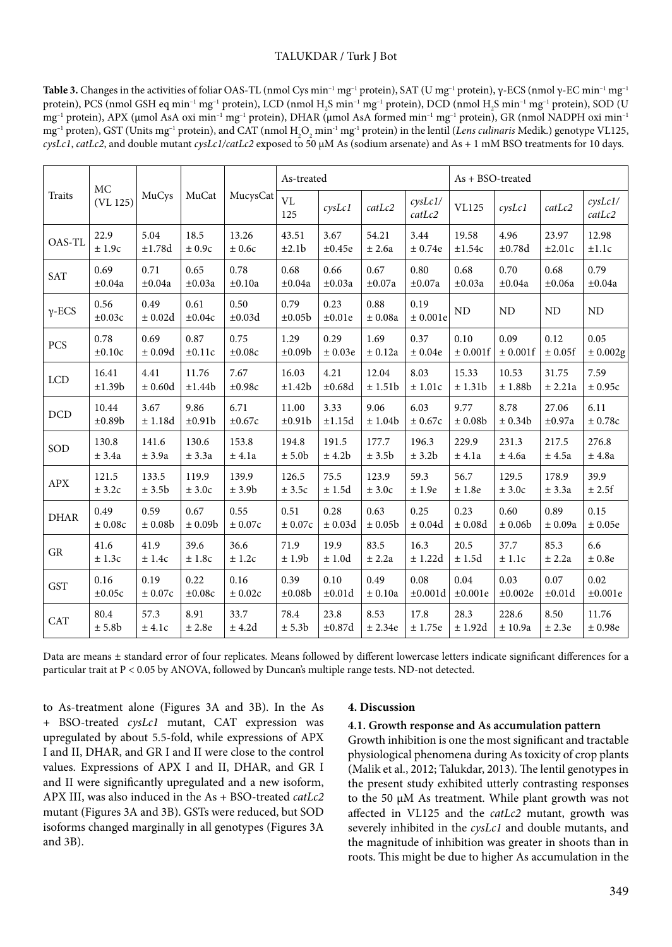### TALUKDAR / Turk J Bot

Table 3. Changes in the activities of foliar OAS-TL (nmol Cys min<sup>-1</sup> mg<sup>-1</sup> protein), SAT (U mg<sup>-1</sup> protein), γ-ECS (nmol γ-EC min<sup>-1</sup> mg<sup>-1</sup> protein), PCS (nmol GSH eq min<sup>-1</sup> mg<sup>-1</sup> protein), LCD (nmol H<sub>2</sub>S min<sup>-1</sup> mg<sup>-1</sup> protein), DCD (nmol H<sub>2</sub>S min<sup>-1</sup> mg<sup>-1</sup> protein), SOD (U mg<sup>-1</sup> protein), APX (µmol AsA oxi min<sup>-1</sup> mg<sup>-1</sup> protein), DHAR (µmol AsA formed min<sup>-1</sup> mg<sup>-1</sup> protein), GR (nmol NADPH oxi min<sup>-1</sup> mg<sup>-1</sup> proten), GST (Units mg<sup>-1</sup> protein), and CAT (nmol H<sub>2</sub>O<sub>2</sub> min<sup>-1</sup> mg<sup>-1</sup> protein) in the lentil (*Lens culinaris* Medik.) genotype VL125, *cysLc1*, *catLc2*, and double mutant *cysLc1/catLc2* exposed to 50 µM As (sodium arsenate) and As + 1 mM BSO treatments for 10 days.

| MC            |                     |                 |                     |                     | As-treated          |                     |                 |                         | $As + BSO-treeated$ |              |             |                         |
|---------------|---------------------|-----------------|---------------------|---------------------|---------------------|---------------------|-----------------|-------------------------|---------------------|--------------|-------------|-------------------------|
| <b>Traits</b> | (VL 125)            | MuCys           | MuCat               | MucysCat            | <b>VL</b><br>125    | $c$ ys $Lc1$        | catLc2          | $c$ ys $Lc1/$<br>catLc2 | <b>VL125</b>        | $c$ ys $Lc1$ | catLc2      | $c$ ys $Lc1/$<br>catLc2 |
| OAS-TL        | 22.9                | 5.04            | 18.5                | 13.26               | 43.51               | 3.67                | 54.21           | 3.44                    | 19.58               | 4.96         | 23.97       | 12.98                   |
|               | ± 1.9c              | ±1.78d          | ± 0.9c              | $\pm$ 0.6c          | ±2.1b               | $\pm 0.45e$         | $\pm$ 2.6a      | ± 0.74e                 | ±1.54c              | ±0.78d       | ±2.01c      | ±1.1c                   |
| <b>SAT</b>    | 0.69                | 0.71            | 0.65                | 0.78                | 0.68                | 0.66                | 0.67            | 0.80                    | 0.68                | 0.70         | 0.68        | 0.79                    |
|               | $\pm 0.04a$         | $\pm 0.04a$     | $\pm 0.03a$         | $\pm 0.10a$         | $\pm 0.04a$         | $\pm 0.03a$         | $\pm 0.07a$     | $\pm 0.07a$             | $\pm 0.03a$         | $\pm 0.04a$  | $\pm 0.06a$ | $\pm 0.04a$             |
| $\gamma$ -ECS | 0.56<br>$\pm 0.03c$ | 0.49<br>± 0.02d | 0.61<br>$\pm 0.04c$ | 0.50<br>$\pm 0.03d$ | 0.79<br>$\pm 0.05b$ | 0.23<br>$\pm 0.01e$ | 0.88<br>± 0.08a | 0.19<br>± 0.001e        | ND                  | ND           | ND          | ND                      |
| PCS           | 0.78                | 0.69            | 0.87                | 0.75                | 1.29                | 0.29                | 1.69            | 0.37                    | 0.10                | 0.09         | 0.12        | 0.05                    |
|               | $\pm 0.10c$         | ± 0.09d         | ±0.11c              | $\pm 0.08c$         | $\pm 0.09b$         | ± 0.03e             | ± 0.12a         | ± 0.04e                 | ± 0.001f            | ± 0.001f     | ± 0.05f     | ± 0.002g                |
| <b>LCD</b>    | 16.41               | 4.41            | 11.76               | 7.67                | 16.03               | 4.21                | 12.04           | 8.03                    | 15.33               | 10.53        | 31.75       | 7.59                    |
|               | ±1.39b              | ± 0.60d         | ±1.44b              | ±0.98c              | ±1.42b              | $\pm 0.68d$         | ± 1.51b         | $\pm$ 1.01c             | ± 1.31b             | ±1.88b       | ± 2.21a     | ± 0.95c                 |
| DCD           | 10.44               | 3.67            | 9.86                | 6.71                | 11.00               | 3.33                | 9.06            | 6.03                    | 9.77                | 8.78         | 27.06       | 6.11                    |
|               | $\pm 0.89b$         | ±1.18d          | ±0.91b              | $\pm 0.67c$         | ±0.91b              | ±1.15d              | ± 1.04b         | $\pm$ 0.67c             | $\pm$ 0.08b         | ± 0.34b      | $\pm 0.97a$ | ± 0.78c                 |
| SOD           | 130.8               | 141.6           | 130.6               | 153.8               | 194.8               | 191.5               | 177.7           | 196.3                   | 229.9               | 231.3        | 217.5       | 276.8                   |
|               | ± 3.4a              | ± 3.9a          | ± 3.3a              | $±$ 4.1a            | ± 5.0 <sub>b</sub>  | ± 4.2b              | ± 3.5b          | ± 3.2b                  | ± 4.1a              | $±$ 4.6a     | ± 4.5a      | $±$ 4.8a                |
| <b>APX</b>    | 121.5               | 133.5           | 119.9               | 139.9               | 126.5               | 75.5                | 123.9           | 59.3                    | 56.7                | 129.5        | 178.9       | 39.9                    |
|               | ± 3.2c              | ± 3.5b          | ± 3.0c              | ± 3.9b              | ± 3.5c              | ± 1.5d              | ± 3.0c          | ± 1.9e                  | $\pm$ 1.8e          | ± 3.0c       | ± 3.3a      | ± 2.5f                  |
| <b>DHAR</b>   | 0.49                | 0.59            | 0.67                | 0.55                | 0.51                | 0.28                | 0.63            | 0.25                    | 0.23                | 0.60         | 0.89        | 0.15                    |
|               | $\pm$ 0.08c         | $\pm$ 0.08b     | $\pm$ 0.09b         | $\pm$ 0.07c         | $\pm$ 0.07c         | ± 0.03d             | ± 0.05b         | ± 0.04d                 | ± 0.08d             | ± 0.06b      | $\pm$ 0.09a | $\pm$ 0.05e             |
| GR            | 41.6                | 41.9            | 39.6                | 36.6                | 71.9                | 19.9                | 83.5            | 16.3                    | 20.5                | 37.7         | 85.3        | 6.6                     |
|               | ± 1.3c              | ± 1.4c          | ± 1.8c              | ± 1.2c              | ± 1.9b              | ±1.0d               | ± 2.2a          | ± 1.22d                 | ± 1.5d              | ± 1.1c       | ± 2.2a      | ± 0.8e                  |
| <b>GST</b>    | 0.16                | 0.19            | 0.22                | 0.16                | 0.39                | 0.10                | 0.49            | 0.08                    | 0.04                | 0.03         | 0.07        | 0.02                    |
|               | $\pm 0.05c$         | ± 0.07c         | $\pm 0.08c$         | ± 0.02c             | $\pm 0.08b$         | $\pm 0.01d$         | ± 0.10a         | $\pm 0.001d$            | $\pm 0.001e$        | $\pm 0.002e$ | $\pm 0.01d$ | $\pm 0.001e$            |
| <b>CAT</b>    | 80.4                | 57.3            | 8.91                | 33.7                | 78.4                | 23.8                | 8.53            | 17.8                    | 28.3                | 228.6        | 8.50        | 11.76                   |
|               | ± 5.8b              | ± 4.1c          | ± 2.8e              | ± 4.2d              | ± 5.3b              | $\pm 0.87d$         | ± 2.34e         | ± 1.75e                 | ± 1.92d             | ±10.9a       | ± 2.3e      | ± 0.98e                 |

Data are means ± standard error of four replicates. Means followed by different lowercase letters indicate significant differences for a particular trait at P < 0.05 by ANOVA, followed by Duncan's multiple range tests. ND-not detected.

to As-treatment alone (Figures 3A and 3B). In the As + BSO-treated *cysLc1* mutant, CAT expression was upregulated by about 5.5-fold, while expressions of APX I and II, DHAR, and GR I and II were close to the control values. Expressions of APX I and II, DHAR, and GR I and II were significantly upregulated and a new isoform, APX III, was also induced in the As + BSO-treated *catLc2* mutant (Figures 3A and 3B). GSTs were reduced, but SOD isoforms changed marginally in all genotypes (Figures 3A and 3B).

#### **4. Discussion**

#### **4.1. Growth response and As accumulation pattern**

Growth inhibition is one the most significant and tractable physiological phenomena during As toxicity of crop plants (Malik et al., 2012; Talukdar, 2013). The lentil genotypes in the present study exhibited utterly contrasting responses to the 50 µM As treatment. While plant growth was not affected in VL125 and the *catLc2* mutant, growth was severely inhibited in the *cysLc1* and double mutants, and the magnitude of inhibition was greater in shoots than in roots. This might be due to higher As accumulation in the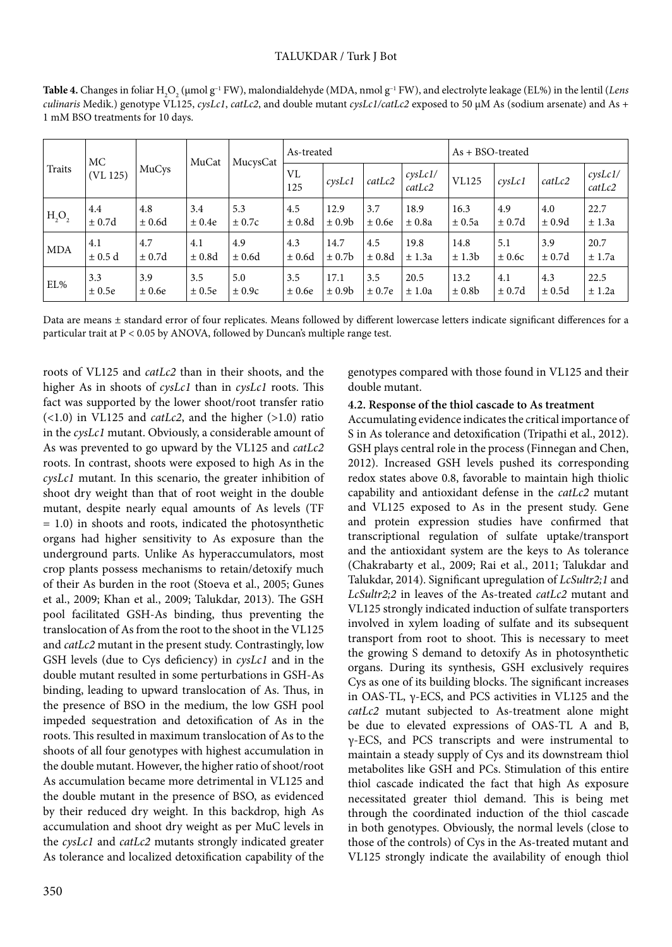| Table 4. Changes in foliar H <sub>2</sub> O <sub>2</sub> (µmol g <sup>-1</sup> FW), malondialdehyde (MDA, nmol g <sup>-1</sup> FW), and electrolyte leakage (EL%) in the lentil ( <i>Lens</i> |
|-----------------------------------------------------------------------------------------------------------------------------------------------------------------------------------------------|
| culinaris Medik.) genotype VL125, cysLc1, catLc2, and double mutant cysLc1/catLc2 exposed to 50 μM As (sodium arsenate) and As +                                                              |
| 1 mM BSO treatments for 10 days.                                                                                                                                                              |

| <b>Traits</b> | МC<br>(VL 125) | MuCys  | MuCat  | MucysCat   | As-treated |                    |        |                              | $As + BSO-treeated$ |              |            |                         |
|---------------|----------------|--------|--------|------------|------------|--------------------|--------|------------------------------|---------------------|--------------|------------|-------------------------|
|               |                |        |        |            | VL<br>125  | $c$ ys $Lc1$       | catLc2 | $\mathit{cysLcl}/$<br>catLc2 | <b>VL125</b>        | $c$ ys $Lc1$ | catLc2     | $c$ ys $Lc1/$<br>catLc2 |
| $H_2O_2$      | 4.4            | 4.8    | 3.4    | 5.3        | 4.5        | 12.9               | 3.7    | 18.9                         | 16.3                | 4.9          | 4.0        | 22.7                    |
|               | ± 0.7d         | ± 0.6d | ± 0.4e | $\pm 0.7c$ | ±0.8d      | $\pm 0.9b$         | ±0.6e  | ± 0.8a                       | $\pm$ 0.5a          | ± 0.7d       | ± 0.9d     | ± 1.3a                  |
| <b>MDA</b>    | 4.1            | 4.7    | 4.1    | 4.9        | 4.3        | 14.7               | 4.5    | 19.8                         | 14.8                | 5.1          | 3.9        | 20.7                    |
|               | $\pm$ 0.5 d    | ± 0.7d | ±0.8d  | ± 0.6d     | $\pm 0.6d$ | $\pm$ 0.7b         | ±0.8d  | ± 1.3a                       | ± 1.3b              | ± 0.6c       | $\pm$ 0.7d | ± 1.7a                  |
| EL%           | 3.3            | 3.9    | 3.5    | 5.0        | 3.5        | 17.1               | 3.5    | 20.5                         | 13.2                | 4.1          | 4.3        | 22.5                    |
|               | ± 0.5e         | ± 0.6e | ± 0.5e | ± 0.9c     | ± 0.6e     | ± 0.9 <sub>b</sub> | ± 0.7e | ± 1.0a                       | $\pm$ 0.8b          | ± 0.7d       | ± 0.5d     | ± 1.2a                  |

Data are means ± standard error of four replicates. Means followed by different lowercase letters indicate significant differences for a particular trait at P < 0.05 by ANOVA, followed by Duncan's multiple range test.

roots of VL125 and *catLc2* than in their shoots, and the higher As in shoots of *cysLc1* than in *cysLc1* roots. This fact was supported by the lower shoot/root transfer ratio (<1.0) in VL125 and *catLc2*, and the higher (>1.0) ratio in the *cysLc1* mutant. Obviously, a considerable amount of As was prevented to go upward by the VL125 and *catLc2*  roots. In contrast, shoots were exposed to high As in the *cysLc1* mutant. In this scenario, the greater inhibition of shoot dry weight than that of root weight in the double mutant, despite nearly equal amounts of As levels (TF = 1.0) in shoots and roots, indicated the photosynthetic organs had higher sensitivity to As exposure than the underground parts. Unlike As hyperaccumulators, most crop plants possess mechanisms to retain/detoxify much of their As burden in the root (Stoeva et al., 2005; Gunes et al., 2009; Khan et al., 2009; Talukdar, 2013). The GSH pool facilitated GSH-As binding, thus preventing the translocation of As from the root to the shoot in the VL125 and *catLc2* mutant in the present study. Contrastingly, low GSH levels (due to Cys deficiency) in *cysLc1* and in the double mutant resulted in some perturbations in GSH-As binding, leading to upward translocation of As. Thus, in the presence of BSO in the medium, the low GSH pool impeded sequestration and detoxification of As in the roots. This resulted in maximum translocation of As to the shoots of all four genotypes with highest accumulation in the double mutant. However, the higher ratio of shoot/root As accumulation became more detrimental in VL125 and the double mutant in the presence of BSO, as evidenced by their reduced dry weight. In this backdrop, high As accumulation and shoot dry weight as per MuC levels in the *cysLc1* and *catLc2* mutants strongly indicated greater As tolerance and localized detoxification capability of the genotypes compared with those found in VL125 and their double mutant.

# **4.2. Response of the thiol cascade to As treatment**

Accumulating evidence indicates the critical importance of S in As tolerance and detoxification (Tripathi et al., 2012). GSH plays central role in the process (Finnegan and Chen, 2012). Increased GSH levels pushed its corresponding redox states above 0.8, favorable to maintain high thiolic capability and antioxidant defense in the *catLc2* mutant and VL125 exposed to As in the present study. Gene and protein expression studies have confirmed that transcriptional regulation of sulfate uptake/transport and the antioxidant system are the keys to As tolerance (Chakrabarty et al., 2009; Rai et al., 2011; Talukdar and Talukdar, 2014). Significant upregulation of *LcSultr2;1* and *LcSultr2;2* in leaves of the As-treated *catLc2* mutant and VL125 strongly indicated induction of sulfate transporters involved in xylem loading of sulfate and its subsequent transport from root to shoot. This is necessary to meet the growing S demand to detoxify As in photosynthetic organs. During its synthesis, GSH exclusively requires Cys as one of its building blocks. The significant increases in OAS-TL, γ-ECS, and PCS activities in VL125 and the *catLc2* mutant subjected to As-treatment alone might be due to elevated expressions of OAS-TL A and B, γ-ECS, and PCS transcripts and were instrumental to maintain a steady supply of Cys and its downstream thiol metabolites like GSH and PCs. Stimulation of this entire thiol cascade indicated the fact that high As exposure necessitated greater thiol demand. This is being met through the coordinated induction of the thiol cascade in both genotypes. Obviously, the normal levels (close to those of the controls) of Cys in the As-treated mutant and VL125 strongly indicate the availability of enough thiol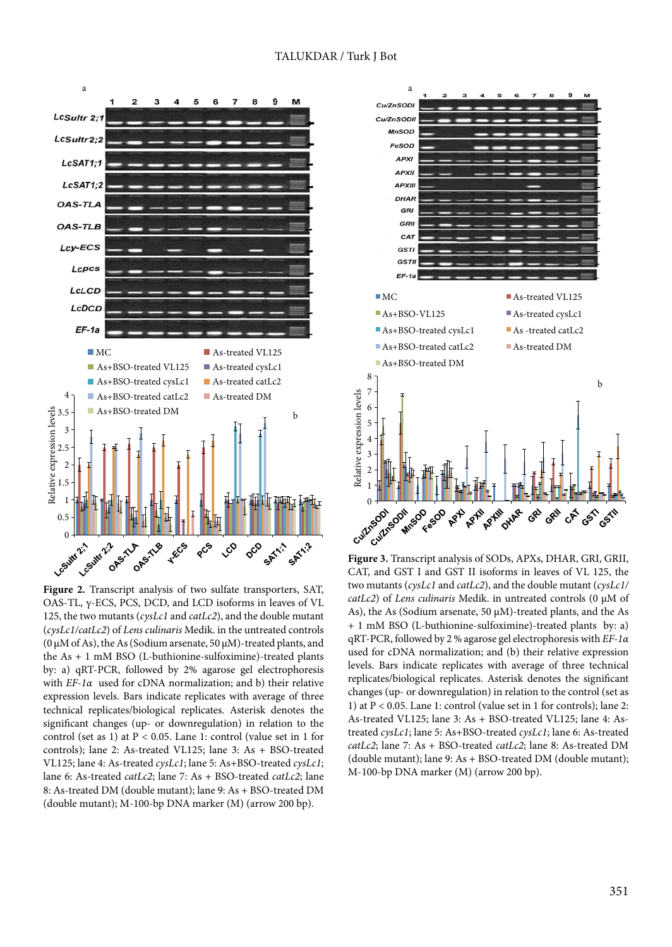



**Figure 2.** Transcript analysis of two sulfate transporters, SAT, OAS-TL, γ-ECS, PCS, DCD, and LCD isoforms in leaves of VL 125, the two mutants (*cysLc1* and *catLc2*), and the double mutant (*cysLc1/catLc2*) of *Lens culinaris* Medik. in the untreated controls (0 μM of As), the As (Sodium arsenate,  $50 \mu$ M)-treated plants, and the As + 1 mM BSO (L-buthionine-sulfoximine)-treated plants by: a) qRT-PCR, followed by 2% agarose gel electrophoresis with *EF-1α* used for cDNA normalization; and b) their relative expression levels. Bars indicate replicates with average of three technical replicates/biological replicates. Asterisk denotes the significant changes (up- or downregulation) in relation to the control (set as 1) at  $P < 0.05$ . Lane 1: control (value set in 1 for controls); lane 2: As-treated VL125; lane 3: As + BSO-treated VL125; lane 4: As-treated *cysLc1*; lane 5: As+BSO-treated *cysLc1*; lane 6: As-treated *catLc2*; lane 7: As + BSO-treated *catLc2*; lane 8: As-treated DM (double mutant); lane 9: As + BSO-treated DM (double mutant); M-100-bp DNA marker (M) (arrow 200 bp).



**Figure 3.** Transcript analysis of SODs, APXs, DHAR, GRI, GRII, CAT, and GST I and GST II isoforms in leaves of VL 125, the two mutants (*cysLc1* and *catLc2*), and the double mutant (*cysLc1/ catLc2*) of *Lens culinaris* Medik. in untreated controls (0 μM of As), the As (Sodium arsenate, 50 μM)-treated plants, and the As + 1 mM BSO (L-buthionine-sulfoximine)-treated plants by: a) qRT-PCR, followed by 2 % agarose gel electrophoresis with *EF-1α*  used for cDNA normalization; and (b) their relative expression levels. Bars indicate replicates with average of three technical replicates/biological replicates. Asterisk denotes the significant changes (up- or downregulation) in relation to the control (set as 1) at P < 0.05. Lane 1: control (value set in 1 for controls); lane 2: As-treated VL125; lane 3: As + BSO-treated VL125; lane 4: Astreated *cysLc1*; lane 5: As+BSO-treated *cysLc1*; lane 6: As-treated *catLc2*; lane 7: As + BSO-treated *catLc2*; lane 8: As-treated DM (double mutant); lane 9: As + BSO-treated DM (double mutant); M-100-bp DNA marker (M) (arrow 200 bp).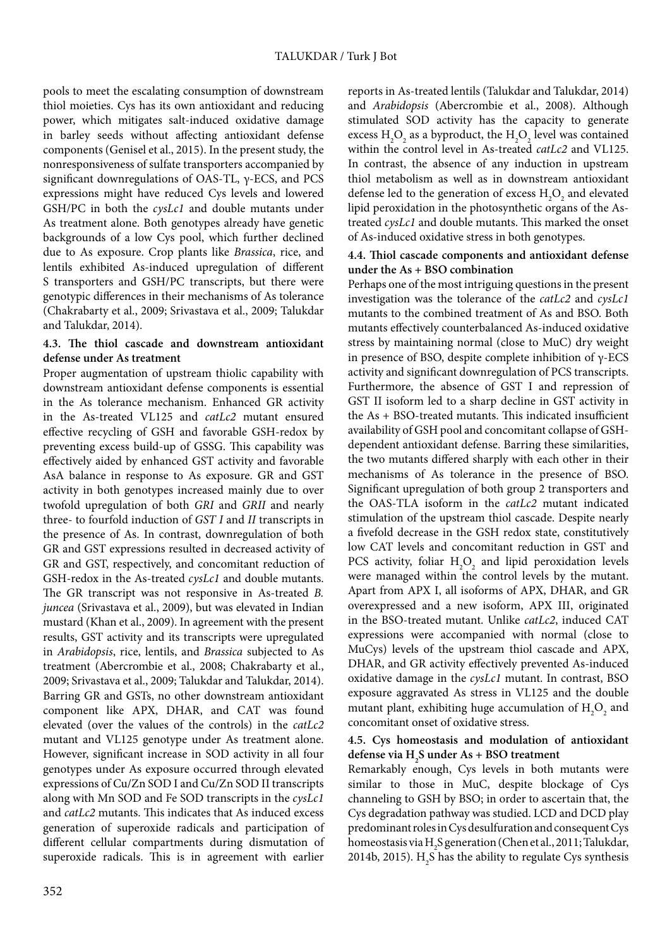pools to meet the escalating consumption of downstream thiol moieties. Cys has its own antioxidant and reducing power, which mitigates salt-induced oxidative damage in barley seeds without affecting antioxidant defense components (Genisel et al., 2015). In the present study, the nonresponsiveness of sulfate transporters accompanied by significant downregulations of OAS-TL, γ-ECS, and PCS expressions might have reduced Cys levels and lowered GSH/PC in both the *cysLc1* and double mutants under As treatment alone. Both genotypes already have genetic backgrounds of a low Cys pool, which further declined due to As exposure. Crop plants like *Brassica*, rice, and lentils exhibited As-induced upregulation of different S transporters and GSH/PC transcripts, but there were genotypic differences in their mechanisms of As tolerance (Chakrabarty et al., 2009; Srivastava et al., 2009; Talukdar and Talukdar, 2014).

# **4.3. The thiol cascade and downstream antioxidant defense under As treatment**

Proper augmentation of upstream thiolic capability with downstream antioxidant defense components is essential in the As tolerance mechanism. Enhanced GR activity in the As-treated VL125 and *catLc2* mutant ensured effective recycling of GSH and favorable GSH-redox by preventing excess build-up of GSSG. This capability was effectively aided by enhanced GST activity and favorable AsA balance in response to As exposure. GR and GST activity in both genotypes increased mainly due to over twofold upregulation of both *GRI* and *GRII* and nearly three- to fourfold induction of *GST I* and *II* transcripts in the presence of As. In contrast, downregulation of both GR and GST expressions resulted in decreased activity of GR and GST, respectively, and concomitant reduction of GSH-redox in the As-treated *cysLc1* and double mutants. The GR transcript was not responsive in As-treated *B. juncea* (Srivastava et al., 2009), but was elevated in Indian mustard (Khan et al., 2009). In agreement with the present results, GST activity and its transcripts were upregulated in *Arabidopsis*, rice, lentils, and *Brassica* subjected to As treatment (Abercrombie et al., 2008; Chakrabarty et al., 2009; Srivastava et al., 2009; Talukdar and Talukdar, 2014). Barring GR and GSTs, no other downstream antioxidant component like APX, DHAR, and CAT was found elevated (over the values of the controls) in the *catLc2* mutant and VL125 genotype under As treatment alone. However, significant increase in SOD activity in all four genotypes under As exposure occurred through elevated expressions of Cu/Zn SOD I and Cu/Zn SOD II transcripts along with Mn SOD and Fe SOD transcripts in the *cysLc1* and *catLc2* mutants. This indicates that As induced excess generation of superoxide radicals and participation of different cellular compartments during dismutation of superoxide radicals. This is in agreement with earlier

reports in As-treated lentils (Talukdar and Talukdar, 2014) and *Arabidopsis* (Abercrombie et al., 2008). Although stimulated SOD activity has the capacity to generate excess  $H_2O_2$  as a byproduct, the  $H_2O_2$  level was contained within the control level in As-treated *catLc2* and VL125. In contrast, the absence of any induction in upstream thiol metabolism as well as in downstream antioxidant defense led to the generation of excess  $\mathrm{H}_{2}\mathrm{O}_{2}$  and elevated lipid peroxidation in the photosynthetic organs of the Astreated *cysLc1* and double mutants. This marked the onset of As-induced oxidative stress in both genotypes.

# **4.4. Thiol cascade components and antioxidant defense under the As + BSO combination**

Perhaps one of the most intriguing questions in the present investigation was the tolerance of the *catLc2* and *cysLc1* mutants to the combined treatment of As and BSO. Both mutants effectively counterbalanced As-induced oxidative stress by maintaining normal (close to MuC) dry weight in presence of BSO, despite complete inhibition of γ-ECS activity and significant downregulation of PCS transcripts. Furthermore, the absence of GST I and repression of GST II isoform led to a sharp decline in GST activity in the As + BSO-treated mutants. This indicated insufficient availability of GSH pool and concomitant collapse of GSHdependent antioxidant defense. Barring these similarities, the two mutants differed sharply with each other in their mechanisms of As tolerance in the presence of BSO. Significant upregulation of both group 2 transporters and the OAS-TLA isoform in the *catLc2* mutant indicated stimulation of the upstream thiol cascade. Despite nearly a fivefold decrease in the GSH redox state, constitutively low CAT levels and concomitant reduction in GST and PCS activity, foliar  $H_2O_2$  and lipid peroxidation levels were managed within the control levels by the mutant. Apart from APX I, all isoforms of APX, DHAR, and GR overexpressed and a new isoform, APX III, originated in the BSO-treated mutant. Unlike *catLc2*, induced CAT expressions were accompanied with normal (close to MuCys) levels of the upstream thiol cascade and APX, DHAR, and GR activity effectively prevented As-induced oxidative damage in the *cysLc1* mutant. In contrast, BSO exposure aggravated As stress in VL125 and the double mutant plant, exhibiting huge accumulation of  $\rm{H}_{2}\rm{O}_{2}$  and concomitant onset of oxidative stress.

# **4.5. Cys homeostasis and modulation of antioxidant defense via H2 S under As + BSO treatment**

Remarkably enough, Cys levels in both mutants were similar to those in MuC, despite blockage of Cys channeling to GSH by BSO; in order to ascertain that, the Cys degradation pathway was studied. LCD and DCD play predominant roles in Cys desulfuration and consequent Cys homeostasis via  $\rm H_2$ S generation (Chen et al., 2011; Talukdar, 2014b, 2015).  $H_2S$  has the ability to regulate Cys synthesis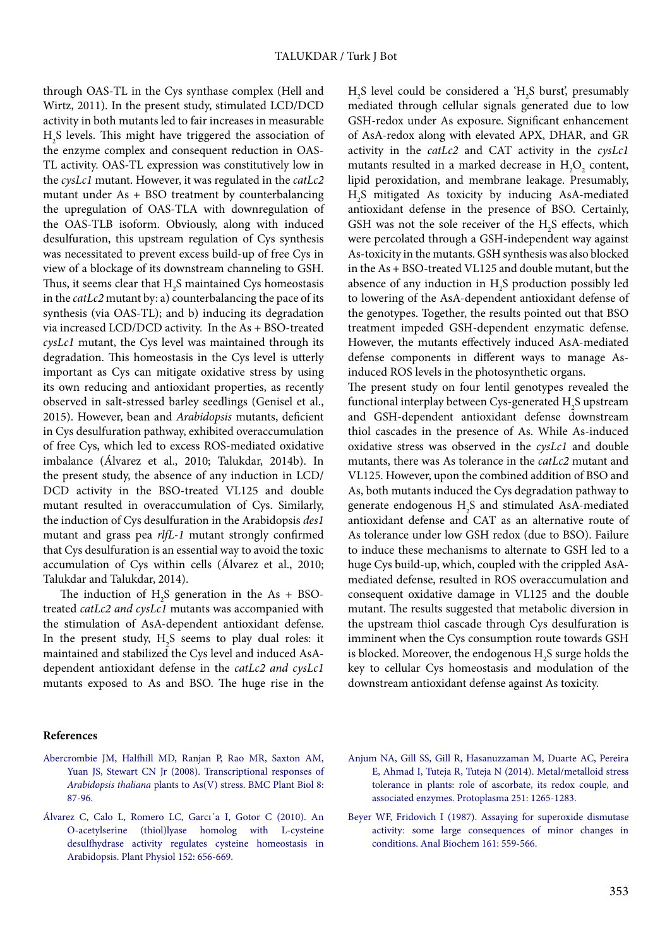through OAS-TL in the Cys synthase complex (Hell and Wirtz, 2011). In the present study, stimulated LCD/DCD activity in both mutants led to fair increases in measurable  $\rm H_2S$  levels. This might have triggered the association of the enzyme complex and consequent reduction in OAS-TL activity. OAS-TL expression was constitutively low in the *cysLc1* mutant. However, it was regulated in the *catLc2* mutant under As + BSO treatment by counterbalancing the upregulation of OAS-TLA with downregulation of the OAS-TLB isoform. Obviously, along with induced desulfuration, this upstream regulation of Cys synthesis was necessitated to prevent excess build-up of free Cys in view of a blockage of its downstream channeling to GSH. Thus, it seems clear that  $\rm H_2S$  maintained Cys homeostasis in the *catLc2* mutant by: a) counterbalancing the pace of its synthesis (via OAS-TL); and b) inducing its degradation via increased LCD/DCD activity. In the As + BSO-treated *cysLc1* mutant, the Cys level was maintained through its degradation. This homeostasis in the Cys level is utterly important as Cys can mitigate oxidative stress by using its own reducing and antioxidant properties, as recently observed in salt-stressed barley seedlings (Genisel et al., 2015). However, bean and *Arabidopsis* mutants, deficient in Cys desulfuration pathway, exhibited overaccumulation of free Cys, which led to excess ROS-mediated oxidative imbalance (Álvarez et al., 2010; Talukdar, 2014b). In the present study, the absence of any induction in LCD/ DCD activity in the BSO-treated VL125 and double mutant resulted in overaccumulation of Cys. Similarly, the induction of Cys desulfuration in the Arabidopsis *des1* mutant and grass pea *rlfL-1* mutant strongly confirmed that Cys desulfuration is an essential way to avoid the toxic accumulation of Cys within cells (Álvarez et al., 2010; Talukdar and Talukdar, 2014).

The induction of  $H_2S$  generation in the As + BSOtreated *catLc2 and cysLc1* mutants was accompanied with the stimulation of AsA-dependent antioxidant defense. In the present study,  $H_2S$  seems to play dual roles: it maintained and stabilized the Cys level and induced AsAdependent antioxidant defense in the *catLc2 and cysLc1*  mutants exposed to As and BSO. The huge rise in the

 $H<sub>2</sub>S$  level could be considered a ' $H<sub>2</sub>S$  burst', presumably mediated through cellular signals generated due to low GSH-redox under As exposure. Significant enhancement of AsA-redox along with elevated APX, DHAR, and GR activity in the *catLc2* and CAT activity in the *cysLc1* mutants resulted in a marked decrease in  $H_2O_2$  content, lipid peroxidation, and membrane leakage. Presumably, H2 S mitigated As toxicity by inducing AsA-mediated antioxidant defense in the presence of BSO. Certainly, GSH was not the sole receiver of the  $H_2S$  effects, which were percolated through a GSH-independent way against As-toxicity in the mutants. GSH synthesis was also blocked in the As + BSO-treated VL125 and double mutant, but the absence of any induction in  $H_2S$  production possibly led to lowering of the AsA-dependent antioxidant defense of the genotypes. Together, the results pointed out that BSO treatment impeded GSH-dependent enzymatic defense. However, the mutants effectively induced AsA-mediated defense components in different ways to manage Asinduced ROS levels in the photosynthetic organs.

The present study on four lentil genotypes revealed the functional interplay between Cys-generated  $\rm{H}_{2}\rm{S}$  upstream and GSH-dependent antioxidant defense downstream thiol cascades in the presence of As. While As-induced oxidative stress was observed in the *cysLc1* and double mutants, there was As tolerance in the *catLc2* mutant and VL125. However, upon the combined addition of BSO and As, both mutants induced the Cys degradation pathway to generate endogenous  $H_2S$  and stimulated AsA-mediated antioxidant defense and CAT as an alternative route of As tolerance under low GSH redox (due to BSO). Failure to induce these mechanisms to alternate to GSH led to a huge Cys build-up, which, coupled with the crippled AsAmediated defense, resulted in ROS overaccumulation and consequent oxidative damage in VL125 and the double mutant. The results suggested that metabolic diversion in the upstream thiol cascade through Cys desulfuration is imminent when the Cys consumption route towards GSH is blocked. Moreover, the endogenous  $\mathrm{H}_2\mathrm{S}$  surge holds the key to cellular Cys homeostasis and modulation of the downstream antioxidant defense against As toxicity.

#### **References**

- [Abercrombie JM, Halfhill MD, Ranjan P, Rao MR, Saxton AM,](http://dx.doi.org/10.1186/1471-2229-8-87) [Yuan JS, Stewart CN Jr \(2008\). Transcriptional responses of](http://dx.doi.org/10.1186/1471-2229-8-87) *Arabidopsis thaliana* [plants to As\(V\) stress. BMC Plant Biol 8:](http://dx.doi.org/10.1186/1471-2229-8-87) [87-96.](http://dx.doi.org/10.1186/1471-2229-8-87)
- [Álvarez C, Calo L, Romero LC, Garcı´a I, Gotor C \(2010\). An](http://dx.doi.org/10.1104/pp.109.147975) [O-acetylserine \(thiol\)lyase homolog with L-cysteine](http://dx.doi.org/10.1104/pp.109.147975) [desulfhydrase activity regulates cysteine homeostasis in](http://dx.doi.org/10.1104/pp.109.147975) Arabidopsis. [Plant Physiol 152: 656-669.](http://dx.doi.org/10.1104/pp.109.147975)
- [Anjum NA, Gill SS, Gill R, Hasanuzzaman M, Duarte AC, Pereira](http://dx.doi.org/10.1007/s00709-014-0636-x) [E, Ahmad I, Tuteja R, Tuteja N \(2014\). Metal/metalloid stress](http://dx.doi.org/10.1007/s00709-014-0636-x) [tolerance in plants: role of ascorbate, its redox couple, and](http://dx.doi.org/10.1007/s00709-014-0636-x) [associated enzymes. Protoplasma 251: 1265-1283.](http://dx.doi.org/10.1007/s00709-014-0636-x)
- [Beyer WF, Fridovich I \(1987\). Assaying for superoxide dismutase](http://dx.doi.org/10.1016/0003-2697(87)90489-1) [activity: some large consequences of minor changes in](http://dx.doi.org/10.1016/0003-2697(87)90489-1) [conditions. Anal Biochem 161: 559-566.](http://dx.doi.org/10.1016/0003-2697(87)90489-1)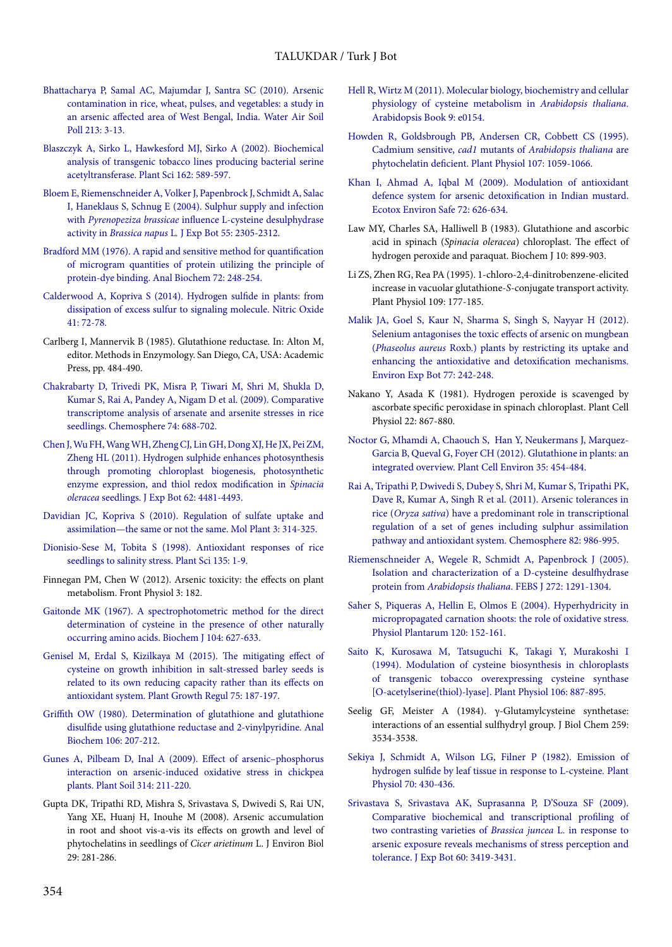- [Bhattacharya P, Samal AC, Majumdar J, Santra SC \(2010\). Arsenic](http://dx.doi.org/10.1007/s11270-010-0361-9) [contamination in rice, wheat, pulses, and vegetables: a study in](http://dx.doi.org/10.1007/s11270-010-0361-9) [an arsenic affected area of West Bengal, India. Water Air Soil](http://dx.doi.org/10.1007/s11270-010-0361-9) [Poll 213: 3-13.](http://dx.doi.org/10.1007/s11270-010-0361-9)
- [Blaszczyk A, Sirko L, Hawkesford MJ, Sirko A \(2002\). Biochemical](http://dx.doi.org/10.1016/S0168-9452(01)00598-2) [analysis of transgenic tobacco lines producing bacterial serine](http://dx.doi.org/10.1016/S0168-9452(01)00598-2) [acetyltransferase. Plant Sci 162: 589-597.](http://dx.doi.org/10.1016/S0168-9452(01)00598-2)
- [Bloem E, Riemenschneider A, Volker J, Papenbrock J, Schmidt A, Salac](http://dx.doi.org/10.1093/jxb/erh236) [I, Haneklaus S, Schnug E \(2004\). Sulphur supply and infection](http://dx.doi.org/10.1093/jxb/erh236) with *Pyrenopeziza brassicae* [influence L-cysteine desulphydrase](http://dx.doi.org/10.1093/jxb/erh236) activity in *Brassica napus* L*.* [J Exp Bot 55: 2305-2312.](http://dx.doi.org/10.1093/jxb/erh236)
- [Bradford MM \(1976\). A rapid and sensitive method for quantification](http://dx.doi.org/10.1016/0003-2697(76)90527-3) [of microgram quantities of protein utilizing the principle of](http://dx.doi.org/10.1016/0003-2697(76)90527-3) [protein-dye binding. Anal Biochem 72: 248-254.](http://dx.doi.org/10.1016/0003-2697(76)90527-3)
- [Calderwood A, Kopriva S \(2014\). Hydrogen sulfide in plants: from](http://dx.doi.org/10.1016/j.niox.2014.02.005) [dissipation of excess sulfur to signaling molecule. Nitric Oxide](http://dx.doi.org/10.1016/j.niox.2014.02.005) [41: 72-78.](http://dx.doi.org/10.1016/j.niox.2014.02.005)
- Carlberg I, Mannervik B (1985). Glutathione reductase. In: Alton M, editor. Methods in Enzymology. San Diego, CA, USA: Academic Press, pp. 484-490.
- [Chakrabarty D, Trivedi PK, Misra P, Tiwari M, Shri M, Shukla D,](http://dx.doi.org/10.1016/j.chemosphere.2008.09.082) [Kumar S, Rai A, Pandey A, Nigam D et al. \(2009\). Comparative](http://dx.doi.org/10.1016/j.chemosphere.2008.09.082) [transcriptome analysis of arsenate and arsenite stresses in rice](http://dx.doi.org/10.1016/j.chemosphere.2008.09.082) [seedlings. Chemosphere 74: 688-702.](http://dx.doi.org/10.1016/j.chemosphere.2008.09.082)
- [Chen J, Wu FH, Wang WH, Zheng CJ, Lin GH, Dong XJ, He JX, Pei ZM,](http://dx.doi.org/10.1093/jxb/err145) [Zheng HL \(2011\). Hydrogen sulphide enhances photosynthesis](http://dx.doi.org/10.1093/jxb/err145) [through promoting chloroplast biogenesis, photosynthetic](http://dx.doi.org/10.1093/jxb/err145) [enzyme expression, and thiol redox modification in](http://dx.doi.org/10.1093/jxb/err145) *Spinacia oleracea* seedlings. [J Exp Bot 62: 4481-4493.](http://dx.doi.org/10.1093/jxb/err145)
- [Davidian JC, Kopriva S \(2010\). Regulation of sulfate uptake and](http://dx.doi.org/10.1093/mp/ssq001) [assimilation—the same or not the same. Mol Plant 3: 314-325.](http://dx.doi.org/10.1093/mp/ssq001)
- [Dionisio-Sese M, Tobita S \(1998\). Antioxidant responses of rice](http://dx.doi.org/10.1016/S0168-9452(98)00025-9) [seedlings to salinity stress.](http://dx.doi.org/10.1016/S0168-9452(98)00025-9) Plant Sci 135: 1-9.
- Finnegan PM, Chen W (2012). Arsenic toxicity: the effects on plant metabolism. Front Physiol 3: 182.
- [Gaitonde MK \(1967\). A spectrophotometric method for the direct](http://dx.doi.org/10.1042/bj1040627) [determination of cysteine in the presence of other naturally](http://dx.doi.org/10.1042/bj1040627) [occurring amino acids. Biochem J 104: 627-633.](http://dx.doi.org/10.1042/bj1040627)
- [Genisel M, Erdal S, Kizilkaya M \(2015\). The mitigating effect of](http://dx.doi.org/10.1007/s10725-014-9943-7) [cysteine on growth inhibition in salt-stressed barley seeds is](http://dx.doi.org/10.1007/s10725-014-9943-7) [related to its own reducing capacity rather than its effects on](http://dx.doi.org/10.1007/s10725-014-9943-7) [antioxidant system. Plant Growth Regul 75: 187-197.](http://dx.doi.org/10.1007/s10725-014-9943-7)
- [Griffith OW \(1980\). Determination of glutathione and glutathione](http://dx.doi.org/10.1016/0003-2697(80)90139-6) [disulfide using glutathione reductase and 2-vinylpyridine. Anal](http://dx.doi.org/10.1016/0003-2697(80)90139-6) [Biochem 106: 207-212.](http://dx.doi.org/10.1016/0003-2697(80)90139-6)
- [Gunes A, Pilbeam D, Inal A \(2009\). Effect of arsenic–phosphorus](http://dx.doi.org/10.1007/s11104-008-9719-9) [interaction on arsenic-induced oxidative stress in chickpea](http://dx.doi.org/10.1007/s11104-008-9719-9) [plants. Plant Soil 314: 211-220.](http://dx.doi.org/10.1007/s11104-008-9719-9)
- Gupta DK, Tripathi RD, Mishra S, Srivastava S, Dwivedi S, Rai UN, Yang XE, Huanj H, Inouhe M (2008). Arsenic accumulation in root and shoot vis-a-vis its effects on growth and level of phytochelatins in seedlings of *Cicer arietinum* L. J Environ Biol 29: 281-286.
- [Hell R, Wirtz M \(2011\). Molecular biology, biochemistry and cellular](http://dx.doi.org/10.1199/tab.0154) [physiology of cysteine metabolism in](http://dx.doi.org/10.1199/tab.0154) *Arabidopsis thaliana*. [Arabidopsis Book 9: e0154.](http://dx.doi.org/10.1199/tab.0154)
- [Howden R, Goldsbrough PB, Andersen CR, Cobbett CS \(1995\).](http://dx.doi.org/10.1104/pp.107.4.1059) [Cadmium sensitive,](http://dx.doi.org/10.1104/pp.107.4.1059) *cad1* mutants of *Arabidopsis thaliana* are [phytochelatin deficient. Plant Physiol 107: 1059-1066.](http://dx.doi.org/10.1104/pp.107.4.1059)
- [Khan I, Ahmad A, Iqbal M \(2009\). Modulation of antioxidant](http://dx.doi.org/10.1016/j.ecoenv.2007.11.016) [defence system for arsenic detoxification in Indian mustard.](http://dx.doi.org/10.1016/j.ecoenv.2007.11.016) [Ecotox Environ Safe 72: 626-634.](http://dx.doi.org/10.1016/j.ecoenv.2007.11.016)
- Law MY, Charles SA, Halliwell B (1983). Glutathione and ascorbic acid in spinach (*Spinacia oleracea*) chloroplast. The effect of hydrogen peroxide and paraquat. Biochem J 10: 899-903.
- Li ZS, Zhen RG, Rea PA (1995). 1-chloro-2,4-dinitrobenzene-elicited increase in vacuolar glutathione-*S*-conjugate transport activity. Plant Physiol 109: 177-185.
- [Malik JA, Goel S, Kaur N, Sharma S, Singh S, Nayyar H \(2012\).](http://dx.doi.org/10.1016/j.envexpbot.2011.12.001) [Selenium antagonises the toxic effects of arsenic on mungbean](http://dx.doi.org/10.1016/j.envexpbot.2011.12.001) (*Phaseolus aureus* [Roxb.\) plants by restricting its uptake and](http://dx.doi.org/10.1016/j.envexpbot.2011.12.001) [enhancing the antioxidative and detoxification mechanisms.](http://dx.doi.org/10.1016/j.envexpbot.2011.12.001) [Environ Exp Bot 77: 242-248.](http://dx.doi.org/10.1016/j.envexpbot.2011.12.001)
- Nakano Y, Asada K (1981). Hydrogen peroxide is scavenged by ascorbate specific peroxidase in spinach chloroplast. Plant Cell Physiol 22: 867-880.
- [Noctor G, Mhamdi A, Chaouch S, Han Y, Neukermans J, Marquez-](http://dx.doi.org/10.1111/j.1365-3040.2011.02400.x)[Garcia B, Queval G, Foyer CH \(2012\). Glutathione in plants: an](http://dx.doi.org/10.1111/j.1365-3040.2011.02400.x) [integrated overview. Plant Cell Environ](http://dx.doi.org/10.1111/j.1365-3040.2011.02400.x) 35: 454-484.
- [Rai A, Tripathi P, Dwivedi S, Dubey S, Shri M, Kumar S, Tripathi PK,](http://dx.doi.org/10.1016/j.chemosphere.2010.10.070) [Dave R, Kumar A, Singh R et al. \(2011\). Arsenic tolerances in](http://dx.doi.org/10.1016/j.chemosphere.2010.10.070) rice (*Oryza sativa*[\) have a predominant role in transcriptional](http://dx.doi.org/10.1016/j.chemosphere.2010.10.070) [regulation of a set of genes including sulphur assimilation](http://dx.doi.org/10.1016/j.chemosphere.2010.10.070) [pathway and antioxidant system. Chemosphere 82: 986-995.](http://dx.doi.org/10.1016/j.chemosphere.2010.10.070)
- [Riemenschneider A, Wegele R, Schmidt A, Papenbrock J \(2005\).](http://dx.doi.org/10.1111/j.1742-4658.2005.04567.x) [Isolation and characterization of a D-cysteine desulfhydrase](http://dx.doi.org/10.1111/j.1742-4658.2005.04567.x) protein from *Arabidopsis thaliana*[. FEBS J 272: 1291-1304.](http://dx.doi.org/10.1111/j.1742-4658.2005.04567.x)
- [Saher S, Piqueras A, Hellin E, Olmos E \(2004\). Hyperhydricity in](http://dx.doi.org/10.1111/j.0031-9317.2004.0219.x) [micropropagated carnation shoots: the role of oxidative stress.](http://dx.doi.org/10.1111/j.0031-9317.2004.0219.x) [Physiol Plantarum 120: 152-161.](http://dx.doi.org/10.1111/j.0031-9317.2004.0219.x)
- [Saito K, Kurosawa M, Tatsuguchi K, Takagi Y, Murakoshi I](http://dx.doi.org/10.1104/pp.106.3.887) [\(1994\). Modulation of cysteine biosynthesis in chloroplasts](http://dx.doi.org/10.1104/pp.106.3.887) [of transgenic tobacco overexpressing cysteine synthase](http://dx.doi.org/10.1104/pp.106.3.887) [\[O-acetylserine\(thiol\)-lyase\]. Plant Physiol 106: 887-895.](http://dx.doi.org/10.1104/pp.106.3.887)
- Seelig GF, Meister A (1984). γ-Glutamylcysteine synthetase: interactions of an essential sulfhydryl group. J Biol Chem 259: 3534-3538.
- [Sekiya J, Schmidt A, Wilson LG, Filner P \(1982\). Emission of](http://dx.doi.org/10.1104/pp.70.2.430) [hydrogen sulfide by leaf tissue in response to L-cysteine](http://dx.doi.org/10.1104/pp.70.2.430)*.* Plant [Physiol 70: 430-436.](http://dx.doi.org/10.1104/pp.70.2.430)
- [Srivastava S, Srivastava AK, Suprasanna P, D'Souza SF \(2009\).](http://dx.doi.org/10.1093/jxb/erp181) [Comparative biochemical and transcriptional profiling of](http://dx.doi.org/10.1093/jxb/erp181) [two contrasting varieties of](http://dx.doi.org/10.1093/jxb/erp181) *Brassica juncea* L. in response to [arsenic exposure reveals mechanisms of stress perception and](http://dx.doi.org/10.1093/jxb/erp181) [tolerance. J Exp Bot 60: 3419-3431.](http://dx.doi.org/10.1093/jxb/erp181)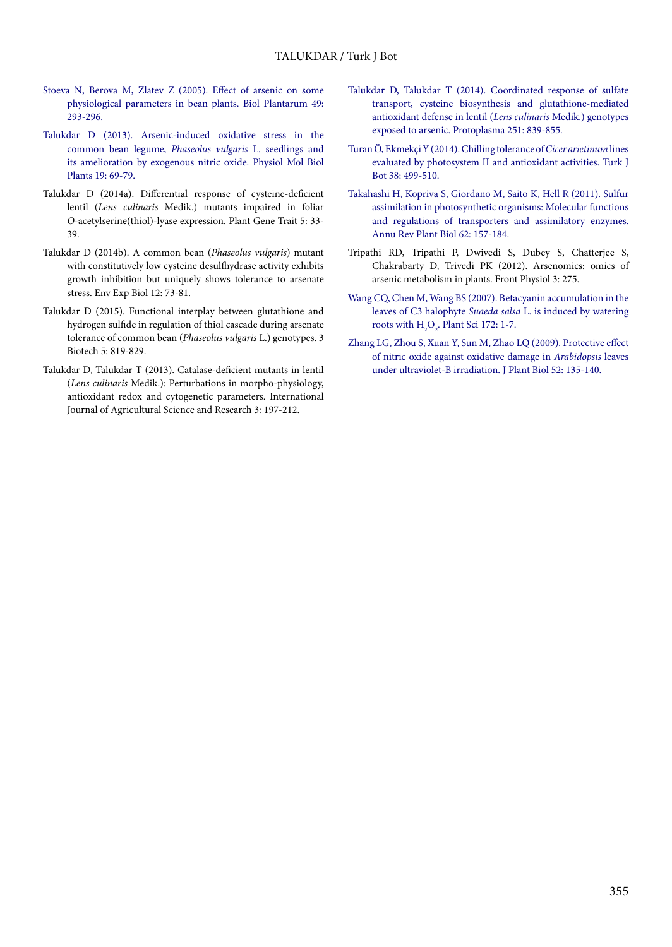- [Stoeva N, Berova M, Zlatev Z \(2005\). Effect of arsenic on some](http://dx.doi.org/10.1007/s10535-005-3296-z) [physiological parameters in bean plants. Biol Plantarum 49:](http://dx.doi.org/10.1007/s10535-005-3296-z) [293-296.](http://dx.doi.org/10.1007/s10535-005-3296-z)
- [Talukdar D \(2013\). Arsenic-induced oxidative stress in the](http://dx.doi.org/10.1007/s12298-012-0140-8) [common bean legume,](http://dx.doi.org/10.1007/s12298-012-0140-8) *Phaseolus vulgaris* L. seedlings and [its amelioration by exogenous nitric oxide. Physiol Mol Biol](http://dx.doi.org/10.1007/s12298-012-0140-8) [Plants 19: 69-79.](http://dx.doi.org/10.1007/s12298-012-0140-8)
- Talukdar D (2014a). Differential response of cysteine-deficient lentil (*Lens culinaris* Medik.) mutants impaired in foliar *O*-acetylserine(thiol)-lyase expression. Plant Gene Trait 5: 33- 39.
- Talukdar D (2014b). A common bean (*Phaseolus vulgaris*) mutant with constitutively low cysteine desulfhydrase activity exhibits growth inhibition but uniquely shows tolerance to arsenate stress. Env Exp Biol 12: 73-81.
- Talukdar D (2015). Functional interplay between glutathione and hydrogen sulfide in regulation of thiol cascade during arsenate tolerance of common bean (*Phaseolus vulgaris* L.) genotypes. 3 Biotech 5: 819-829.
- Talukdar D, Talukdar T (2013). Catalase-deficient mutants in lentil (*Lens culinaris* Medik.): Perturbations in morpho-physiology, antioxidant redox and cytogenetic parameters. International Journal of Agricultural Science and Research 3: 197-212.
- [Talukdar D, Talukdar T \(2014\). Coordinated response of sulfate](http://dx.doi.org/10.1007/s00709-013-0586-8) [transport, cysteine biosynthesis and glutathione-mediated](http://dx.doi.org/10.1007/s00709-013-0586-8) [antioxidant defense in lentil \(](http://dx.doi.org/10.1007/s00709-013-0586-8)*Lens culinaris* Medik.) genotypes [exposed to arsenic. Protoplasma 251: 839-855.](http://dx.doi.org/10.1007/s00709-013-0586-8)
- [Turan Ö, Ekmekçi Y \(2014\). Chilling tolerance of](http://dx.doi.org/10.3906/bot-1309-7) *Cicer arietinum* lines [evaluated by photosystem II and antioxidant activities. Turk J](http://dx.doi.org/10.3906/bot-1309-7) [Bot 38: 499-510.](http://dx.doi.org/10.3906/bot-1309-7)
- [Takahashi H, Kopriva S, Giordano M, Saito K, Hell R \(2011\). Sulfur](http://dx.doi.org/10.1146/annurev-arplant-042110-103921) [assimilation in photosynthetic organisms: Molecular functions](http://dx.doi.org/10.1146/annurev-arplant-042110-103921) [and regulations of transporters and assimilatory enzymes.](http://dx.doi.org/10.1146/annurev-arplant-042110-103921) [Annu Rev Plant Biol 62: 157-184.](http://dx.doi.org/10.1146/annurev-arplant-042110-103921)
- Tripathi RD, Tripathi P, Dwivedi S, Dubey S, Chatterjee S, Chakrabarty D, Trivedi PK (2012). Arsenomics: omics of arsenic metabolism in plants. Front Physiol 3: 275.
- [Wang CQ, Chen M, Wang BS \(2007\). Betacyanin accumulation in the](http://dx.doi.org/10.1016/j.plantsci.2006.06.015) leaves of C3 halophyte *Suaeda salsa* [L. is induced by watering](http://dx.doi.org/10.1016/j.plantsci.2006.06.015) roots with  $H_2O_2$ [. Plant Sci 172: 1-7.](http://dx.doi.org/10.1016/j.plantsci.2006.06.015)
- [Zhang LG, Zhou S, Xuan Y, Sun M, Zhao LQ \(2009\). Protective effect](http://dx.doi.org/10.1007/s12374-009-9013-2) [of nitric oxide against oxidative damage in](http://dx.doi.org/10.1007/s12374-009-9013-2) *Arabidopsis* leaves [under ultraviolet-B irradiation. J Plant Biol 52: 135-140.](http://dx.doi.org/10.1007/s12374-009-9013-2)